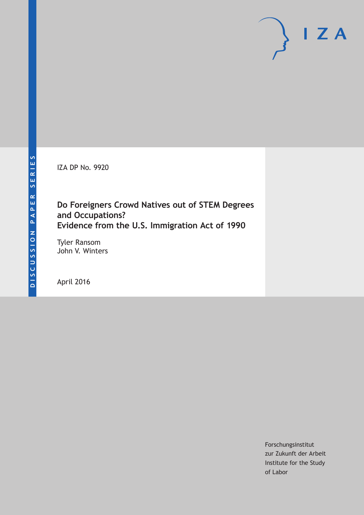IZA DP No. 9920

# **Do Foreigners Crowd Natives out of STEM Degrees and Occupations? Evidence from the U.S. Immigration Act of 1990**

Tyler Ransom John V. Winters

April 2016

Forschungsinstitut zur Zukunft der Arbeit Institute for the Study of Labor

 $I Z A$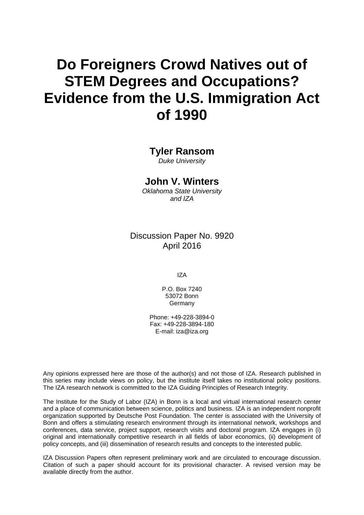# **Do Foreigners Crowd Natives out of STEM Degrees and Occupations? Evidence from the U.S. Immigration Act of 1990**

#### **Tyler Ransom**

*Duke University* 

#### **John V. Winters**

*Oklahoma State University and IZA* 

Discussion Paper No. 9920 April 2016

IZA

P.O. Box 7240 53072 Bonn Germany

Phone: +49-228-3894-0 Fax: +49-228-3894-180 E-mail: iza@iza.org

Any opinions expressed here are those of the author(s) and not those of IZA. Research published in this series may include views on policy, but the institute itself takes no institutional policy positions. The IZA research network is committed to the IZA Guiding Principles of Research Integrity.

The Institute for the Study of Labor (IZA) in Bonn is a local and virtual international research center and a place of communication between science, politics and business. IZA is an independent nonprofit organization supported by Deutsche Post Foundation. The center is associated with the University of Bonn and offers a stimulating research environment through its international network, workshops and conferences, data service, project support, research visits and doctoral program. IZA engages in (i) original and internationally competitive research in all fields of labor economics, (ii) development of policy concepts, and (iii) dissemination of research results and concepts to the interested public.

IZA Discussion Papers often represent preliminary work and are circulated to encourage discussion. Citation of such a paper should account for its provisional character. A revised version may be available directly from the author.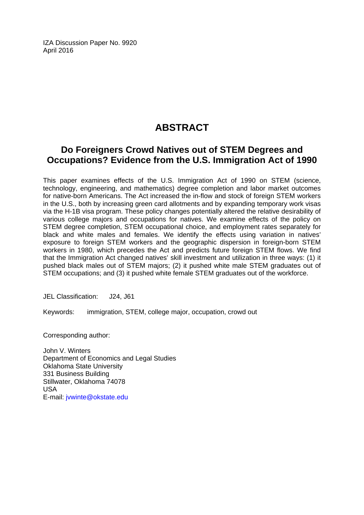IZA Discussion Paper No. 9920 April 2016

# **ABSTRACT**

## **Do Foreigners Crowd Natives out of STEM Degrees and Occupations? Evidence from the U.S. Immigration Act of 1990**

This paper examines effects of the U.S. Immigration Act of 1990 on STEM (science, technology, engineering, and mathematics) degree completion and labor market outcomes for native-born Americans. The Act increased the in-flow and stock of foreign STEM workers in the U.S., both by increasing green card allotments and by expanding temporary work visas via the H-1B visa program. These policy changes potentially altered the relative desirability of various college majors and occupations for natives. We examine effects of the policy on STEM degree completion, STEM occupational choice, and employment rates separately for black and white males and females. We identify the effects using variation in natives' exposure to foreign STEM workers and the geographic dispersion in foreign-born STEM workers in 1980, which precedes the Act and predicts future foreign STEM flows. We find that the Immigration Act changed natives' skill investment and utilization in three ways: (1) it pushed black males out of STEM majors; (2) it pushed white male STEM graduates out of STEM occupations; and (3) it pushed white female STEM graduates out of the workforce.

JEL Classification: J24, J61

Keywords: immigration, STEM, college major, occupation, crowd out

Corresponding author:

John V. Winters Department of Economics and Legal Studies Oklahoma State University 331 Business Building Stillwater, Oklahoma 74078 USA E-mail: jvwinte@okstate.edu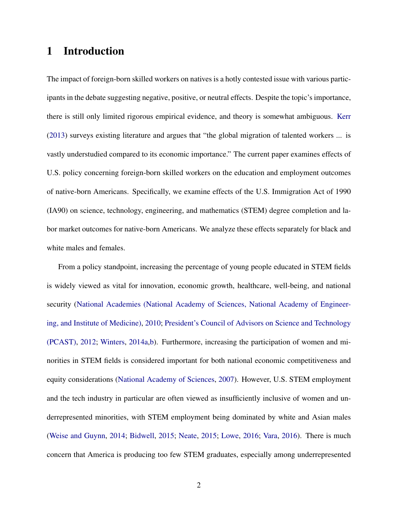# 1 Introduction

The impact of foreign-born skilled workers on natives is a hotly contested issue with various participants in the debate suggesting negative, positive, or neutral effects. Despite the topic's importance, there is still only limited rigorous empirical evidence, and theory is somewhat ambiguous. [Kerr](#page-34-0) [\(2013\)](#page-34-0) surveys existing literature and argues that "the global migration of talented workers ... is vastly understudied compared to its economic importance." The current paper examines effects of U.S. policy concerning foreign-born skilled workers on the education and employment outcomes of native-born Americans. Specifically, we examine effects of the U.S. Immigration Act of 1990 (IA90) on science, technology, engineering, and mathematics (STEM) degree completion and labor market outcomes for native-born Americans. We analyze these effects separately for black and white males and females.

From a policy standpoint, increasing the percentage of young people educated in STEM fields is widely viewed as vital for innovation, economic growth, healthcare, well-being, and national security [\(National Academies \(National Academy of Sciences, National Academy of Engineer](#page-35-0)[ing, and Institute of Medicine\),](#page-35-0) [2010;](#page-35-0) [President's Council of Advisors on Science and Technology](#page-35-1) [\(PCAST\),](#page-35-1) [2012;](#page-35-1) [Winters,](#page-36-0) [2014a,](#page-36-0)[b\)](#page-36-1). Furthermore, increasing the participation of women and minorities in STEM fields is considered important for both national economic competitiveness and equity considerations [\(National Academy of Sciences,](#page-35-2) [2007\)](#page-35-2). However, U.S. STEM employment and the tech industry in particular are often viewed as insufficiently inclusive of women and underrepresented minorities, with STEM employment being dominated by white and Asian males [\(Weise and Guynn,](#page-36-2) [2014;](#page-36-2) [Bidwell,](#page-33-0) [2015;](#page-33-0) [Neate,](#page-35-3) [2015;](#page-35-3) [Lowe,](#page-35-4) [2016;](#page-35-4) [Vara,](#page-36-3) [2016\)](#page-36-3). There is much concern that America is producing too few STEM graduates, especially among underrepresented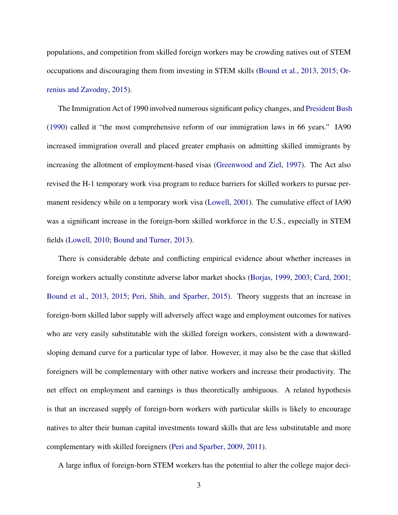populations, and competition from skilled foreign workers may be crowding natives out of STEM occupations and discouraging them from investing in STEM skills [\(Bound et al.,](#page-33-1) [2013,](#page-33-1) [2015;](#page-33-2) [Or](#page-35-5)[renius and Zavodny,](#page-35-5) [2015\)](#page-35-5).

The Immigration Act of 1990 involved numerous significant policy changes, and [President Bush](#page-35-6) [\(1990\)](#page-35-6) called it "the most comprehensive reform of our immigration laws in 66 years." IA90 increased immigration overall and placed greater emphasis on admitting skilled immigrants by increasing the allotment of employment-based visas [\(Greenwood and Ziel,](#page-34-1) [1997\)](#page-34-1). The Act also revised the H-1 temporary work visa program to reduce barriers for skilled workers to pursue permanent residency while on a temporary work visa [\(Lowell,](#page-35-7) [2001\)](#page-35-7). The cumulative effect of IA90 was a significant increase in the foreign-born skilled workforce in the U.S., especially in STEM fields [\(Lowell,](#page-35-8) [2010;](#page-35-8) [Bound and Turner,](#page-33-3) [2013\)](#page-33-3).

There is considerable debate and conflicting empirical evidence about whether increases in foreign workers actually constitute adverse labor market shocks [\(Borjas,](#page-33-4) [1999,](#page-33-4) [2003;](#page-33-5) [Card,](#page-33-6) [2001;](#page-33-6) [Bound et al.,](#page-33-1) [2013,](#page-33-1) [2015;](#page-33-2) [Peri, Shih, and Sparber,](#page-35-9) [2015\)](#page-35-9). Theory suggests that an increase in foreign-born skilled labor supply will adversely affect wage and employment outcomes for natives who are very easily substitutable with the skilled foreign workers, consistent with a downwardsloping demand curve for a particular type of labor. However, it may also be the case that skilled foreigners will be complementary with other native workers and increase their productivity. The net effect on employment and earnings is thus theoretically ambiguous. A related hypothesis is that an increased supply of foreign-born workers with particular skills is likely to encourage natives to alter their human capital investments toward skills that are less substitutable and more complementary with skilled foreigners [\(Peri and Sparber,](#page-35-10) [2009,](#page-35-10) [2011\)](#page-35-11).

A large influx of foreign-born STEM workers has the potential to alter the college major deci-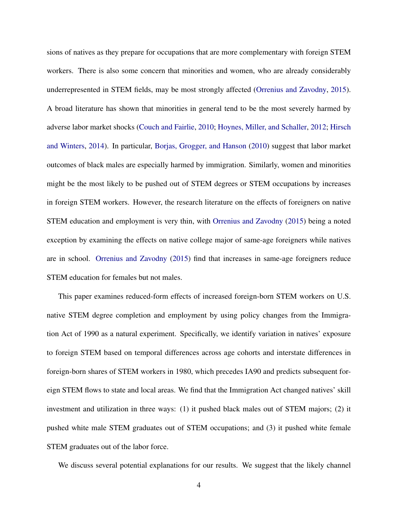sions of natives as they prepare for occupations that are more complementary with foreign STEM workers. There is also some concern that minorities and women, who are already considerably underrepresented in STEM fields, may be most strongly affected [\(Orrenius and Zavodny,](#page-35-5) [2015\)](#page-35-5). A broad literature has shown that minorities in general tend to be the most severely harmed by adverse labor market shocks [\(Couch and Fairlie,](#page-34-2) [2010;](#page-34-2) [Hoynes, Miller, and Schaller,](#page-34-3) [2012;](#page-34-3) [Hirsch](#page-34-4) [and Winters,](#page-34-4) [2014\)](#page-34-4). In particular, [Borjas, Grogger, and Hanson](#page-33-7) [\(2010\)](#page-33-7) suggest that labor market outcomes of black males are especially harmed by immigration. Similarly, women and minorities might be the most likely to be pushed out of STEM degrees or STEM occupations by increases in foreign STEM workers. However, the research literature on the effects of foreigners on native STEM education and employment is very thin, with [Orrenius and Zavodny](#page-35-5) [\(2015\)](#page-35-5) being a noted exception by examining the effects on native college major of same-age foreigners while natives are in school. [Orrenius and Zavodny](#page-35-5) [\(2015\)](#page-35-5) find that increases in same-age foreigners reduce STEM education for females but not males.

This paper examines reduced-form effects of increased foreign-born STEM workers on U.S. native STEM degree completion and employment by using policy changes from the Immigration Act of 1990 as a natural experiment. Specifically, we identify variation in natives' exposure to foreign STEM based on temporal differences across age cohorts and interstate differences in foreign-born shares of STEM workers in 1980, which precedes IA90 and predicts subsequent foreign STEM flows to state and local areas. We find that the Immigration Act changed natives' skill investment and utilization in three ways: (1) it pushed black males out of STEM majors; (2) it pushed white male STEM graduates out of STEM occupations; and (3) it pushed white female STEM graduates out of the labor force.

We discuss several potential explanations for our results. We suggest that the likely channel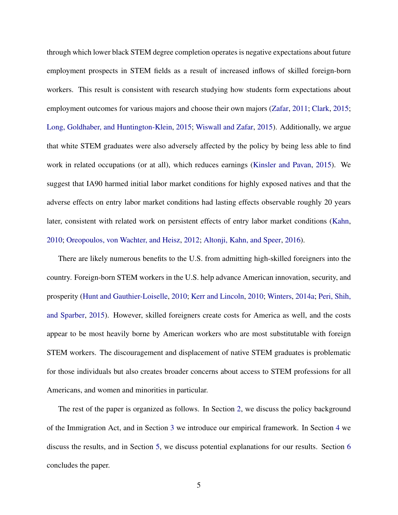through which lower black STEM degree completion operates is negative expectations about future employment prospects in STEM fields as a result of increased inflows of skilled foreign-born workers. This result is consistent with research studying how students form expectations about employment outcomes for various majors and choose their own majors [\(Zafar,](#page-36-4) [2011;](#page-36-4) [Clark,](#page-34-5) [2015;](#page-34-5) [Long, Goldhaber, and Huntington-Klein,](#page-35-12) [2015;](#page-35-12) [Wiswall and Zafar,](#page-36-5) [2015\)](#page-36-5). Additionally, we argue that white STEM graduates were also adversely affected by the policy by being less able to find work in related occupations (or at all), which reduces earnings [\(Kinsler and Pavan,](#page-34-6) [2015\)](#page-34-6). We suggest that IA90 harmed initial labor market conditions for highly exposed natives and that the adverse effects on entry labor market conditions had lasting effects observable roughly 20 years later, consistent with related work on persistent effects of entry labor market conditions [\(Kahn,](#page-34-7) [2010;](#page-34-7) [Oreopoulos, von Wachter, and Heisz,](#page-35-13) [2012;](#page-35-13) [Altonji, Kahn, and Speer,](#page-33-8) [2016\)](#page-33-8).

There are likely numerous benefits to the U.S. from admitting high-skilled foreigners into the country. Foreign-born STEM workers in the U.S. help advance American innovation, security, and prosperity [\(Hunt and Gauthier-Loiselle,](#page-34-8) [2010;](#page-34-8) [Kerr and Lincoln,](#page-34-9) [2010;](#page-34-9) [Winters,](#page-36-0) [2014a;](#page-36-0) [Peri, Shih,](#page-35-9) [and Sparber,](#page-35-9) [2015\)](#page-35-9). However, skilled foreigners create costs for America as well, and the costs appear to be most heavily borne by American workers who are most substitutable with foreign STEM workers. The discouragement and displacement of native STEM graduates is problematic for those individuals but also creates broader concerns about access to STEM professions for all Americans, and women and minorities in particular.

The rest of the paper is organized as follows. In Section [2,](#page-7-0) we discuss the policy background of the Immigration Act, and in Section [3](#page-8-0) we introduce our empirical framework. In Section [4](#page-16-0) we discuss the results, and in Section [5,](#page-24-0) we discuss potential explanations for our results. Section [6](#page-30-0) concludes the paper.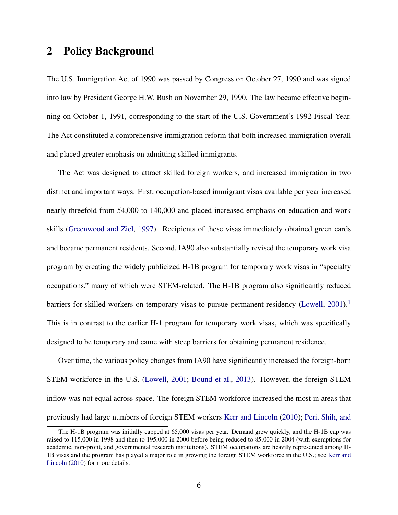# <span id="page-7-0"></span>2 Policy Background

The U.S. Immigration Act of 1990 was passed by Congress on October 27, 1990 and was signed into law by President George H.W. Bush on November 29, 1990. The law became effective beginning on October 1, 1991, corresponding to the start of the U.S. Government's 1992 Fiscal Year. The Act constituted a comprehensive immigration reform that both increased immigration overall and placed greater emphasis on admitting skilled immigrants.

The Act was designed to attract skilled foreign workers, and increased immigration in two distinct and important ways. First, occupation-based immigrant visas available per year increased nearly threefold from 54,000 to 140,000 and placed increased emphasis on education and work skills [\(Greenwood and Ziel,](#page-34-1) [1997\)](#page-34-1). Recipients of these visas immediately obtained green cards and became permanent residents. Second, IA90 also substantially revised the temporary work visa program by creating the widely publicized H-1B program for temporary work visas in "specialty occupations," many of which were STEM-related. The H-1B program also significantly reduced barriers for skilled workers on temporary visas to pursue permanent residency [\(Lowell,](#page-35-7)  $2001$  $2001$ ).<sup>1</sup> This is in contrast to the earlier H-1 program for temporary work visas, which was specifically designed to be temporary and came with steep barriers for obtaining permanent residence.

Over time, the various policy changes from IA90 have significantly increased the foreign-born STEM workforce in the U.S. [\(Lowell,](#page-35-7) [2001;](#page-35-7) [Bound et al.,](#page-33-1) [2013\)](#page-33-1). However, the foreign STEM inflow was not equal across space. The foreign STEM workforce increased the most in areas that previously had large numbers of foreign STEM workers [Kerr and Lincoln](#page-34-9) [\(2010\)](#page-34-9); [Peri, Shih, and](#page-35-9)

<span id="page-7-1"></span><sup>&</sup>lt;sup>1</sup>[The H-1B program was initially capped at 65,000 visas per year. Demand grew quickly, and the H-1B cap was](#page-35-9) [raised to 115,000 in 1998 and then to 195,000 in 2000 before being reduced to 85,000 in 2004 \(with exemptions for](#page-35-9) [academic, non-profit, and governmental research institutions\). STEM occupations are heavily represented among H-](#page-35-9)[1B visas and the program has played a major role in growing the foreign STEM workforce in the U.S.; see](#page-35-9) [Kerr and](#page-34-9) [Lincoln](#page-34-9) [\(2010\) for more details.](#page-35-9)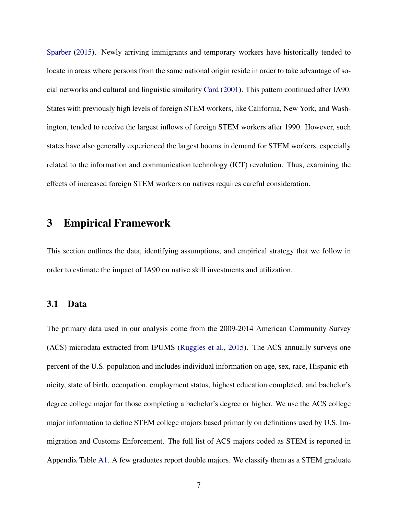[Sparber](#page-35-9) [\(2015\)](#page-35-9). Newly arriving immigrants and temporary workers have historically tended to locate in areas where persons from the same national origin reside in order to take advantage of social networks and cultural and linguistic similarity [Card](#page-33-6) [\(2001\)](#page-33-6). This pattern continued after IA90. States with previously high levels of foreign STEM workers, like California, New York, and Washington, tended to receive the largest inflows of foreign STEM workers after 1990. However, such states have also generally experienced the largest booms in demand for STEM workers, especially related to the information and communication technology (ICT) revolution. Thus, examining the effects of increased foreign STEM workers on natives requires careful consideration.

# <span id="page-8-0"></span>3 Empirical Framework

This section outlines the data, identifying assumptions, and empirical strategy that we follow in order to estimate the impact of IA90 on native skill investments and utilization.

#### 3.1 Data

The primary data used in our analysis come from the 2009-2014 American Community Survey (ACS) microdata extracted from IPUMS [\(Ruggles et al.,](#page-36-6) [2015\)](#page-36-6). The ACS annually surveys one percent of the U.S. population and includes individual information on age, sex, race, Hispanic ethnicity, state of birth, occupation, employment status, highest education completed, and bachelor's degree college major for those completing a bachelor's degree or higher. We use the ACS college major information to define STEM college majors based primarily on definitions used by U.S. Immigration and Customs Enforcement. The full list of ACS majors coded as STEM is reported in Appendix Table [A1.](#page-48-0) A few graduates report double majors. We classify them as a STEM graduate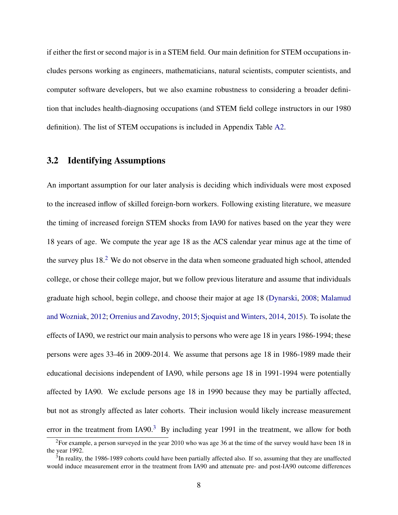if either the first or second major is in a STEM field. Our main definition for STEM occupations includes persons working as engineers, mathematicians, natural scientists, computer scientists, and computer software developers, but we also examine robustness to considering a broader definition that includes health-diagnosing occupations (and STEM field college instructors in our 1980 definition). The list of STEM occupations is included in Appendix Table [A2.](#page-49-0)

#### 3.2 Identifying Assumptions

An important assumption for our later analysis is deciding which individuals were most exposed to the increased inflow of skilled foreign-born workers. Following existing literature, we measure the timing of increased foreign STEM shocks from IA90 for natives based on the year they were 18 years of age. We compute the year age 18 as the ACS calendar year minus age at the time of the survey plus 18.[2](#page-9-0) We do not observe in the data when someone graduated high school, attended college, or chose their college major, but we follow previous literature and assume that individuals graduate high school, begin college, and choose their major at age 18 [\(Dynarski,](#page-34-10) [2008;](#page-34-10) [Malamud](#page-35-14) [and Wozniak,](#page-35-14) [2012;](#page-35-14) [Orrenius and Zavodny,](#page-35-5) [2015;](#page-35-5) [Sjoquist and Winters,](#page-36-7) [2014,](#page-36-7) [2015\)](#page-36-8). To isolate the effects of IA90, we restrict our main analysis to persons who were age 18 in years 1986-1994; these persons were ages 33-46 in 2009-2014. We assume that persons age 18 in 1986-1989 made their educational decisions independent of IA90, while persons age 18 in 1991-1994 were potentially affected by IA90. We exclude persons age 18 in 1990 because they may be partially affected, but not as strongly affected as later cohorts. Their inclusion would likely increase measurement error in the treatment from  $I A 90<sup>3</sup>$  $I A 90<sup>3</sup>$  $I A 90<sup>3</sup>$  By including year 1991 in the treatment, we allow for both

<span id="page-9-0"></span><sup>&</sup>lt;sup>2</sup>For example, a person surveyed in the year 2010 who was age 36 at the time of the survey would have been 18 in the year 1992.

<span id="page-9-1"></span> $3$ In reality, the 1986-1989 cohorts could have been partially affected also. If so, assuming that they are unaffected would induce measurement error in the treatment from IA90 and attenuate pre- and post-IA90 outcome differences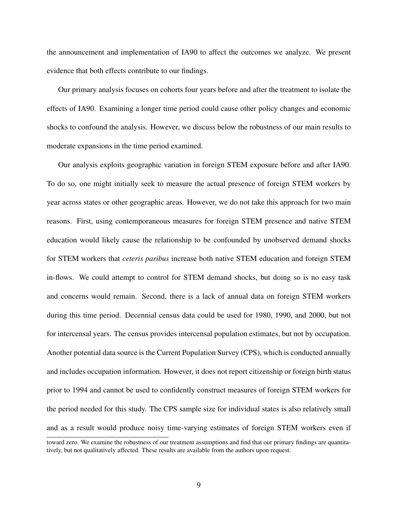the announcement and implementation of IA90 to affect the outcomes we analyze. We present evidence that both effects contribute to our findings.

Our primary analysis focuses on cohorts four years before and after the treatment to isolate the effects of IA90. Examining a longer time period could cause other policy changes and economic shocks to confound the analysis. However, we discuss below the robustness of our main results to moderate expansions in the time period examined.

Our analysis exploits geographic variation in foreign STEM exposure before and after IA90. To do so, one might initially seek to measure the actual presence of foreign STEM workers by year across states or other geographic areas. However, we do not take this approach for two main reasons. First, using contemporaneous measures for foreign STEM presence and native STEM education would likely cause the relationship to be confounded by unobserved demand shocks for STEM workers that *ceteris paribus* increase both native STEM education and foreign STEM in-flows. We could attempt to control for STEM demand shocks, but doing so is no easy task and concerns would remain. Second, there is a lack of annual data on foreign STEM workers during this time period. Decennial census data could be used for 1980, 1990, and 2000, but not for intercensal years. The census provides intercensal population estimates, but not by occupation. Another potential data source is the Current Population Survey (CPS), which is conducted annually and includes occupation information. However, it does not report citizenship or foreign birth status prior to 1994 and cannot be used to confidently construct measures of foreign STEM workers for the period needed for this study. The CPS sample size for individual states is also relatively small and as a result would produce noisy time-varying estimates of foreign STEM workers even if

toward zero. We examine the robustness of our treatment assumptions and find that our primary findings are quantitatively, but not qualitatively affected. These results are available from the authors upon request.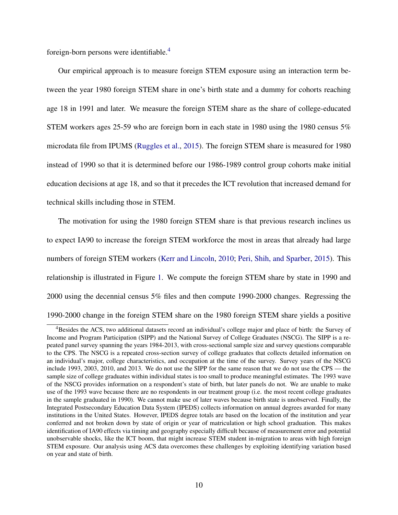foreign-born persons were identifiable.[4](#page-11-0)

Our empirical approach is to measure foreign STEM exposure using an interaction term between the year 1980 foreign STEM share in one's birth state and a dummy for cohorts reaching age 18 in 1991 and later. We measure the foreign STEM share as the share of college-educated STEM workers ages 25-59 who are foreign born in each state in 1980 using the 1980 census 5% microdata file from IPUMS [\(Ruggles et al.,](#page-36-6) [2015\)](#page-36-6). The foreign STEM share is measured for 1980 instead of 1990 so that it is determined before our 1986-1989 control group cohorts make initial education decisions at age 18, and so that it precedes the ICT revolution that increased demand for technical skills including those in STEM.

The motivation for using the 1980 foreign STEM share is that previous research inclines us to expect IA90 to increase the foreign STEM workforce the most in areas that already had large numbers of foreign STEM workers [\(Kerr and Lincoln,](#page-34-9) [2010;](#page-34-9) [Peri, Shih, and Sparber,](#page-35-9) [2015\)](#page-35-9). This relationship is illustrated in Figure [1.](#page-37-0) We compute the foreign STEM share by state in 1990 and 2000 using the decennial census 5% files and then compute 1990-2000 changes. Regressing the 1990-2000 change in the foreign STEM share on the 1980 foreign STEM share yields a positive

<span id="page-11-0"></span><sup>4</sup>Besides the ACS, two additional datasets record an individual's college major and place of birth: the Survey of Income and Program Participation (SIPP) and the National Survey of College Graduates (NSCG). The SIPP is a repeated panel survey spanning the years 1984-2013, with cross-sectional sample size and survey questions comparable to the CPS. The NSCG is a repeated cross-section survey of college graduates that collects detailed information on an individual's major, college characteristics, and occupation at the time of the survey. Survey years of the NSCG include 1993, 2003, 2010, and 2013. We do not use the SIPP for the same reason that we do not use the CPS — the sample size of college graduates within individual states is too small to produce meaningful estimates. The 1993 wave of the NSCG provides information on a respondent's state of birth, but later panels do not. We are unable to make use of the 1993 wave because there are no respondents in our treatment group (i.e. the most recent college graduates in the sample graduated in 1990). We cannot make use of later waves because birth state is unobserved. Finally, the Integrated Postsecondary Education Data System (IPEDS) collects information on annual degrees awarded for many institutions in the United States. However, IPEDS degree totals are based on the location of the institution and year conferred and not broken down by state of origin or year of matriculation or high school graduation. This makes identification of IA90 effects via timing and geography especially difficult because of measurement error and potential unobservable shocks, like the ICT boom, that might increase STEM student in-migration to areas with high foreign STEM exposure. Our analysis using ACS data overcomes these challenges by exploiting identifying variation based on year and state of birth.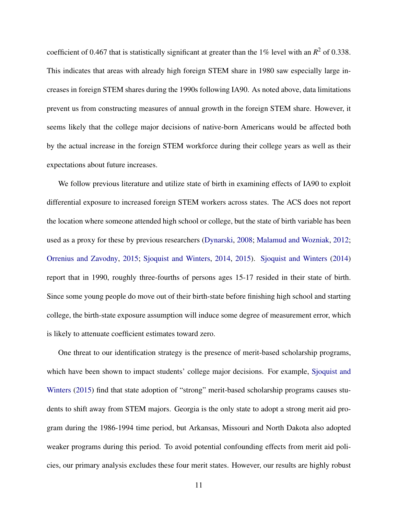coefficient of 0.467 that is statistically significant at greater than the  $1\%$  level with an  $R^2$  of 0.338. This indicates that areas with already high foreign STEM share in 1980 saw especially large increases in foreign STEM shares during the 1990s following IA90. As noted above, data limitations prevent us from constructing measures of annual growth in the foreign STEM share. However, it seems likely that the college major decisions of native-born Americans would be affected both by the actual increase in the foreign STEM workforce during their college years as well as their expectations about future increases.

We follow previous literature and utilize state of birth in examining effects of IA90 to exploit differential exposure to increased foreign STEM workers across states. The ACS does not report the location where someone attended high school or college, but the state of birth variable has been used as a proxy for these by previous researchers [\(Dynarski,](#page-34-10) [2008;](#page-34-10) [Malamud and Wozniak,](#page-35-14) [2012;](#page-35-14) [Orrenius and Zavodny,](#page-35-5) [2015;](#page-35-5) [Sjoquist and Winters,](#page-36-7) [2014,](#page-36-7) [2015\)](#page-36-8). [Sjoquist and Winters](#page-36-7) [\(2014\)](#page-36-7) report that in 1990, roughly three-fourths of persons ages 15-17 resided in their state of birth. Since some young people do move out of their birth-state before finishing high school and starting college, the birth-state exposure assumption will induce some degree of measurement error, which is likely to attenuate coefficient estimates toward zero.

One threat to our identification strategy is the presence of merit-based scholarship programs, which have been shown to impact students' college major decisions. For example, [Sjoquist and](#page-36-8) [Winters](#page-36-8) [\(2015\)](#page-36-8) find that state adoption of "strong" merit-based scholarship programs causes students to shift away from STEM majors. Georgia is the only state to adopt a strong merit aid program during the 1986-1994 time period, but Arkansas, Missouri and North Dakota also adopted weaker programs during this period. To avoid potential confounding effects from merit aid policies, our primary analysis excludes these four merit states. However, our results are highly robust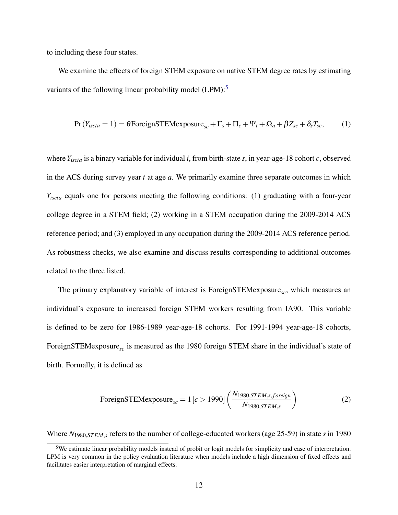to including these four states.

We examine the effects of foreign STEM exposure on native STEM degree rates by estimating variants of the following linear probability model  $(LPM)$ :<sup>[5](#page-13-0)</sup>

<span id="page-13-2"></span>
$$
Pr(Y_{iscta} = 1) = \theta For eigenSTEMexposure_{sc} + \Gamma_s + \Pi_c + \Psi_t + \Omega_a + \beta Z_{sc} + \delta_s T_{sc},
$$
 (1)

where *Yiscta* is a binary variable for individual *i*, from birth-state *s*, in year-age-18 cohort *c*, observed in the ACS during survey year *t* at age *a*. We primarily examine three separate outcomes in which *Yiscta* equals one for persons meeting the following conditions: (1) graduating with a four-year college degree in a STEM field; (2) working in a STEM occupation during the 2009-2014 ACS reference period; and (3) employed in any occupation during the 2009-2014 ACS reference period. As robustness checks, we also examine and discuss results corresponding to additional outcomes related to the three listed.

The primary explanatory variable of interest is ForeignSTEMexposure<sub>sc</sub>, which measures an individual's exposure to increased foreign STEM workers resulting from IA90. This variable is defined to be zero for 1986-1989 year-age-18 cohorts. For 1991-1994 year-age-18 cohorts, ForeignSTEMexposure<sub>sc</sub> is measured as the 1980 foreign STEM share in the individual's state of birth. Formally, it is defined as

<span id="page-13-1"></span>ForeignSTEMexposure<sub>sc</sub> = 1 [c > 1990] 
$$
\left( \frac{N_{1980,STEM,s,foreign}}{N_{1980,STEM,s}} \right)
$$
\n(2)

Where *N*1980,*ST EM*,*<sup>s</sup>* refers to the number of college-educated workers (age 25-59) in state *s* in 1980

<span id="page-13-0"></span><sup>5</sup>We estimate linear probability models instead of probit or logit models for simplicity and ease of interpretation. LPM is very common in the policy evaluation literature when models include a high dimension of fixed effects and facilitates easier interpretation of marginal effects.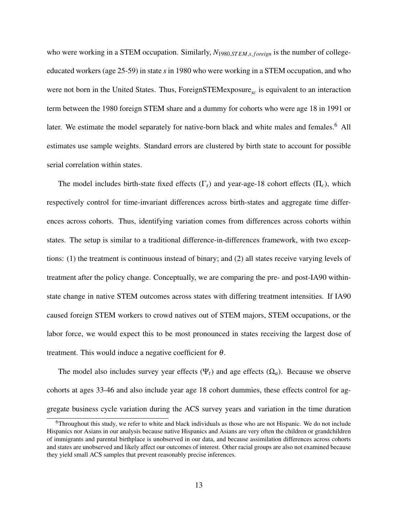who were working in a STEM occupation. Similarly,  $N_{1980,STEM,s, foreign}$  is the number of collegeeducated workers (age 25-59) in state *s* in 1980 who were working in a STEM occupation, and who were not born in the United States. Thus, ForeignSTEMexposure<sub>sc</sub> is equivalent to an interaction term between the 1980 foreign STEM share and a dummy for cohorts who were age 18 in 1991 or later. We estimate the model separately for native-born black and white males and females.<sup>[6](#page-14-0)</sup> All estimates use sample weights. Standard errors are clustered by birth state to account for possible serial correlation within states.

The model includes birth-state fixed effects (Γ*s*) and year-age-18 cohort effects (Π*c*), which respectively control for time-invariant differences across birth-states and aggregate time differences across cohorts. Thus, identifying variation comes from differences across cohorts within states. The setup is similar to a traditional difference-in-differences framework, with two exceptions: (1) the treatment is continuous instead of binary; and (2) all states receive varying levels of treatment after the policy change. Conceptually, we are comparing the pre- and post-IA90 withinstate change in native STEM outcomes across states with differing treatment intensities. If IA90 caused foreign STEM workers to crowd natives out of STEM majors, STEM occupations, or the labor force, we would expect this to be most pronounced in states receiving the largest dose of treatment. This would induce a negative coefficient for  $\theta$ .

The model also includes survey year effects ( $\Psi_t$ ) and age effects ( $\Omega_a$ ). Because we observe cohorts at ages 33-46 and also include year age 18 cohort dummies, these effects control for aggregate business cycle variation during the ACS survey years and variation in the time duration

<span id="page-14-0"></span><sup>6</sup>Throughout this study, we refer to white and black individuals as those who are not Hispanic. We do not include Hispanics nor Asians in our analysis because native Hispanics and Asians are very often the children or grandchildren of immigrants and parental birthplace is unobserved in our data, and because assimilation differences across cohorts and states are unobserved and likely affect our outcomes of interest. Other racial groups are also not examined because they yield small ACS samples that prevent reasonably precise inferences.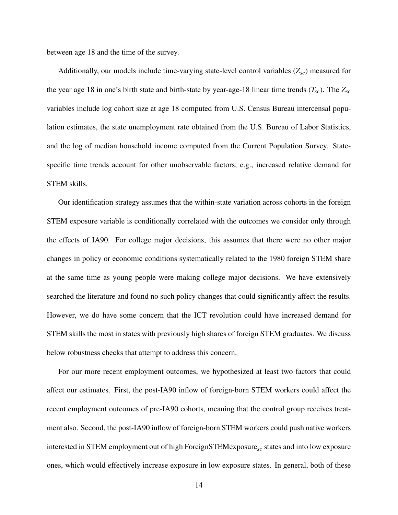between age 18 and the time of the survey.

Additionally, our models include time-varying state-level control variables (*Zsc*) measured for the year age 18 in one's birth state and birth-state by year-age-18 linear time trends  $(T_{sc})$ . The  $Z_{sc}$ variables include log cohort size at age 18 computed from U.S. Census Bureau intercensal population estimates, the state unemployment rate obtained from the U.S. Bureau of Labor Statistics, and the log of median household income computed from the Current Population Survey. Statespecific time trends account for other unobservable factors, e.g., increased relative demand for STEM skills.

Our identification strategy assumes that the within-state variation across cohorts in the foreign STEM exposure variable is conditionally correlated with the outcomes we consider only through the effects of IA90. For college major decisions, this assumes that there were no other major changes in policy or economic conditions systematically related to the 1980 foreign STEM share at the same time as young people were making college major decisions. We have extensively searched the literature and found no such policy changes that could significantly affect the results. However, we do have some concern that the ICT revolution could have increased demand for STEM skills the most in states with previously high shares of foreign STEM graduates. We discuss below robustness checks that attempt to address this concern.

For our more recent employment outcomes, we hypothesized at least two factors that could affect our estimates. First, the post-IA90 inflow of foreign-born STEM workers could affect the recent employment outcomes of pre-IA90 cohorts, meaning that the control group receives treatment also. Second, the post-IA90 inflow of foreign-born STEM workers could push native workers interested in STEM employment out of high ForeignSTEMexposure<sub>sc</sub> states and into low exposure ones, which would effectively increase exposure in low exposure states. In general, both of these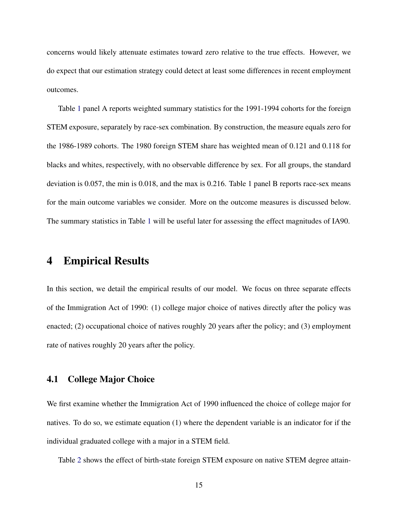concerns would likely attenuate estimates toward zero relative to the true effects. However, we do expect that our estimation strategy could detect at least some differences in recent employment outcomes.

Table [1](#page-38-0) panel A reports weighted summary statistics for the 1991-1994 cohorts for the foreign STEM exposure, separately by race-sex combination. By construction, the measure equals zero for the 1986-1989 cohorts. The 1980 foreign STEM share has weighted mean of 0.121 and 0.118 for blacks and whites, respectively, with no observable difference by sex. For all groups, the standard deviation is 0.057, the min is 0.018, and the max is 0.216. Table 1 panel B reports race-sex means for the main outcome variables we consider. More on the outcome measures is discussed below. The summary statistics in Table [1](#page-38-0) will be useful later for assessing the effect magnitudes of IA90.

### <span id="page-16-0"></span>4 Empirical Results

In this section, we detail the empirical results of our model. We focus on three separate effects of the Immigration Act of 1990: (1) college major choice of natives directly after the policy was enacted; (2) occupational choice of natives roughly 20 years after the policy; and (3) employment rate of natives roughly 20 years after the policy.

#### 4.1 College Major Choice

We first examine whether the Immigration Act of 1990 influenced the choice of college major for natives. To do so, we estimate equation (1) where the dependent variable is an indicator for if the individual graduated college with a major in a STEM field.

Table [2](#page-39-0) shows the effect of birth-state foreign STEM exposure on native STEM degree attain-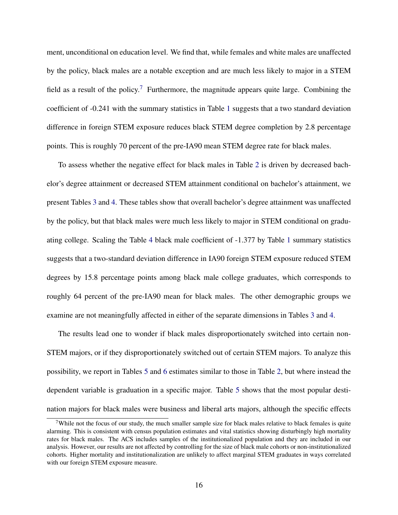ment, unconditional on education level. We find that, while females and white males are unaffected by the policy, black males are a notable exception and are much less likely to major in a STEM field as a result of the policy.<sup>[7](#page-17-0)</sup> Furthermore, the magnitude appears quite large. Combining the coefficient of -0.241 with the summary statistics in Table [1](#page-38-0) suggests that a two standard deviation difference in foreign STEM exposure reduces black STEM degree completion by 2.8 percentage points. This is roughly 70 percent of the pre-IA90 mean STEM degree rate for black males.

To assess whether the negative effect for black males in Table [2](#page-39-0) is driven by decreased bachelor's degree attainment or decreased STEM attainment conditional on bachelor's attainment, we present Tables [3](#page-39-1) and [4.](#page-40-0) These tables show that overall bachelor's degree attainment was unaffected by the policy, but that black males were much less likely to major in STEM conditional on graduating college. Scaling the Table [4](#page-40-0) black male coefficient of -1.377 by Table [1](#page-38-0) summary statistics suggests that a two-standard deviation difference in IA90 foreign STEM exposure reduced STEM degrees by 15.8 percentage points among black male college graduates, which corresponds to roughly 64 percent of the pre-IA90 mean for black males. The other demographic groups we examine are not meaningfully affected in either of the separate dimensions in Tables [3](#page-39-1) and [4.](#page-40-0)

The results lead one to wonder if black males disproportionately switched into certain non-STEM majors, or if they disproportionately switched out of certain STEM majors. To analyze this possibility, we report in Tables [5](#page-40-1) and [6](#page-41-0) estimates similar to those in Table [2,](#page-39-0) but where instead the dependent variable is graduation in a specific major. Table [5](#page-40-1) shows that the most popular destination majors for black males were business and liberal arts majors, although the specific effects

<span id="page-17-0"></span><sup>&</sup>lt;sup>7</sup>While not the focus of our study, the much smaller sample size for black males relative to black females is quite alarming. This is consistent with census population estimates and vital statistics showing disturbingly high mortality rates for black males. The ACS includes samples of the institutionalized population and they are included in our analysis. However, our results are not affected by controlling for the size of black male cohorts or non-institutionalized cohorts. Higher mortality and institutionalization are unlikely to affect marginal STEM graduates in ways correlated with our foreign STEM exposure measure.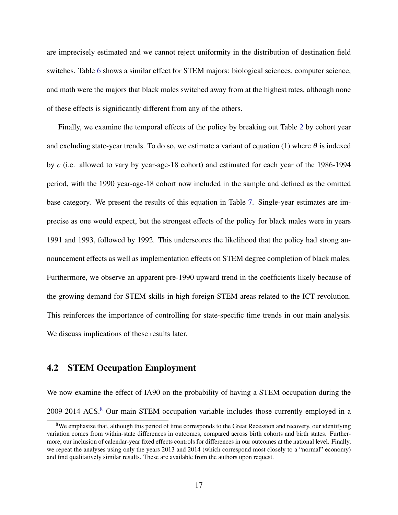are imprecisely estimated and we cannot reject uniformity in the distribution of destination field switches. Table [6](#page-41-0) shows a similar effect for STEM majors: biological sciences, computer science, and math were the majors that black males switched away from at the highest rates, although none of these effects is significantly different from any of the others.

Finally, we examine the temporal effects of the policy by breaking out Table [2](#page-39-0) by cohort year and excluding state-year trends. To do so, we estimate a variant of equation (1) where  $\theta$  is indexed by *c* (i.e. allowed to vary by year-age-18 cohort) and estimated for each year of the 1986-1994 period, with the 1990 year-age-18 cohort now included in the sample and defined as the omitted base category. We present the results of this equation in Table [7.](#page-42-0) Single-year estimates are imprecise as one would expect, but the strongest effects of the policy for black males were in years 1991 and 1993, followed by 1992. This underscores the likelihood that the policy had strong announcement effects as well as implementation effects on STEM degree completion of black males. Furthermore, we observe an apparent pre-1990 upward trend in the coefficients likely because of the growing demand for STEM skills in high foreign-STEM areas related to the ICT revolution. This reinforces the importance of controlling for state-specific time trends in our main analysis. We discuss implications of these results later.

#### 4.2 STEM Occupation Employment

We now examine the effect of IA90 on the probability of having a STEM occupation during the 2009-2014 ACS.<sup>[8](#page-18-0)</sup> Our main STEM occupation variable includes those currently employed in a

<span id="page-18-0"></span><sup>&</sup>lt;sup>8</sup>We emphasize that, although this period of time corresponds to the Great Recession and recovery, our identifying variation comes from within-state differences in outcomes, compared across birth cohorts and birth states. Furthermore, our inclusion of calendar-year fixed effects controls for differences in our outcomes at the national level. Finally, we repeat the analyses using only the years 2013 and 2014 (which correspond most closely to a "normal" economy) and find qualitatively similar results. These are available from the authors upon request.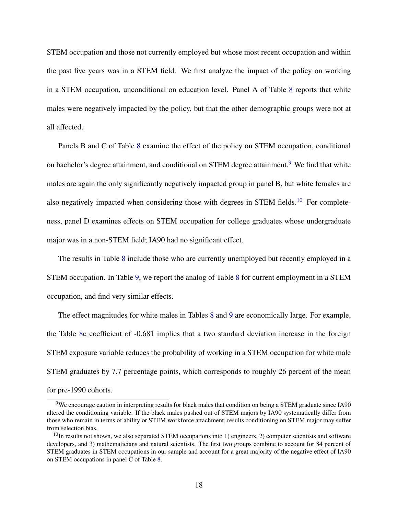STEM occupation and those not currently employed but whose most recent occupation and within the past five years was in a STEM field. We first analyze the impact of the policy on working in a STEM occupation, unconditional on education level. Panel A of Table [8](#page-43-0) reports that white males were negatively impacted by the policy, but that the other demographic groups were not at all affected.

Panels B and C of Table [8](#page-43-0) examine the effect of the policy on STEM occupation, conditional on bachelor's degree attainment, and conditional on STEM degree attainment.<sup>[9](#page-19-0)</sup> We find that white males are again the only significantly negatively impacted group in panel B, but white females are also negatively impacted when considering those with degrees in STEM fields.<sup>[10](#page-19-1)</sup> For completeness, panel D examines effects on STEM occupation for college graduates whose undergraduate major was in a non-STEM field; IA90 had no significant effect.

The results in Table [8](#page-43-0) include those who are currently unemployed but recently employed in a STEM occupation. In Table [9,](#page-44-0) we report the analog of Table [8](#page-43-0) for current employment in a STEM occupation, and find very similar effects.

The effect magnitudes for white males in Tables [8](#page-43-0) and [9](#page-44-0) are economically large. For example, the Table [8c](#page-43-0) coefficient of -0.681 implies that a two standard deviation increase in the foreign STEM exposure variable reduces the probability of working in a STEM occupation for white male STEM graduates by 7.7 percentage points, which corresponds to roughly 26 percent of the mean for pre-1990 cohorts.

<span id="page-19-0"></span><sup>9</sup>We encourage caution in interpreting results for black males that condition on being a STEM graduate since IA90 altered the conditioning variable. If the black males pushed out of STEM majors by IA90 systematically differ from those who remain in terms of ability or STEM workforce attachment, results conditioning on STEM major may suffer from selection bias.

<span id="page-19-1"></span> $10$ In results not shown, we also separated STEM occupations into 1) engineers, 2) computer scientists and software developers, and 3) mathematicians and natural scientists. The first two groups combine to account for 84 percent of STEM graduates in STEM occupations in our sample and account for a great majority of the negative effect of IA90 on STEM occupations in panel C of Table [8.](#page-43-0)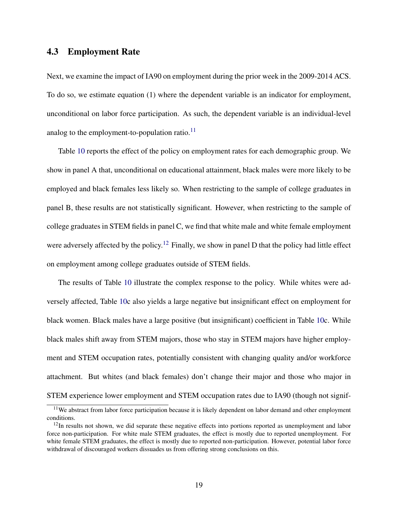#### 4.3 Employment Rate

Next, we examine the impact of IA90 on employment during the prior week in the 2009-2014 ACS. To do so, we estimate equation (1) where the dependent variable is an indicator for employment, unconditional on labor force participation. As such, the dependent variable is an individual-level analog to the employment-to-population ratio. $^{11}$  $^{11}$  $^{11}$ 

Table [10](#page-45-0) reports the effect of the policy on employment rates for each demographic group. We show in panel A that, unconditional on educational attainment, black males were more likely to be employed and black females less likely so. When restricting to the sample of college graduates in panel B, these results are not statistically significant. However, when restricting to the sample of college graduates in STEM fields in panel C, we find that white male and white female employment were adversely affected by the policy.<sup>[12](#page-20-1)</sup> Finally, we show in panel D that the policy had little effect on employment among college graduates outside of STEM fields.

The results of Table [10](#page-45-0) illustrate the complex response to the policy. While whites were adversely affected, Table [10c](#page-45-0) also yields a large negative but insignificant effect on employment for black women. Black males have a large positive (but insignificant) coefficient in Table [10c](#page-45-0). While black males shift away from STEM majors, those who stay in STEM majors have higher employment and STEM occupation rates, potentially consistent with changing quality and/or workforce attachment. But whites (and black females) don't change their major and those who major in STEM experience lower employment and STEM occupation rates due to IA90 (though not signif-

<span id="page-20-0"></span><sup>&</sup>lt;sup>11</sup>We abstract from labor force participation because it is likely dependent on labor demand and other employment conditions.

<span id="page-20-1"></span><sup>&</sup>lt;sup>12</sup>In results not shown, we did separate these negative effects into portions reported as unemployment and labor force non-participation. For white male STEM graduates, the effect is mostly due to reported unemployment. For white female STEM graduates, the effect is mostly due to reported non-participation. However, potential labor force withdrawal of discouraged workers dissuades us from offering strong conclusions on this.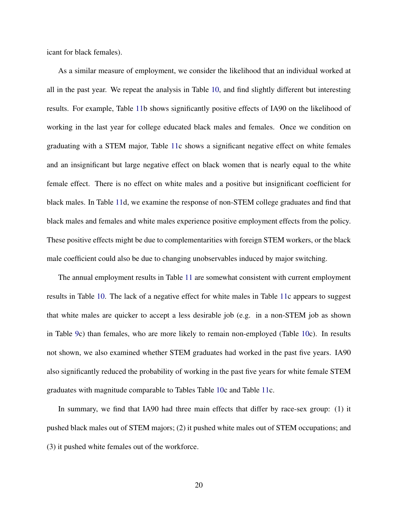icant for black females).

As a similar measure of employment, we consider the likelihood that an individual worked at all in the past year. We repeat the analysis in Table [10,](#page-45-0) and find slightly different but interesting results. For example, Table [11b](#page-46-0) shows significantly positive effects of IA90 on the likelihood of working in the last year for college educated black males and females. Once we condition on graduating with a STEM major, Table [11c](#page-46-0) shows a significant negative effect on white females and an insignificant but large negative effect on black women that is nearly equal to the white female effect. There is no effect on white males and a positive but insignificant coefficient for black males. In Table [11d](#page-46-0), we examine the response of non-STEM college graduates and find that black males and females and white males experience positive employment effects from the policy. These positive effects might be due to complementarities with foreign STEM workers, or the black male coefficient could also be due to changing unobservables induced by major switching.

The annual employment results in Table [11](#page-46-0) are somewhat consistent with current employment results in Table [10.](#page-45-0) The lack of a negative effect for white males in Table [11c](#page-46-0) appears to suggest that white males are quicker to accept a less desirable job (e.g. in a non-STEM job as shown in Table [9c](#page-44-0)) than females, who are more likely to remain non-employed (Table [10c](#page-45-0)). In results not shown, we also examined whether STEM graduates had worked in the past five years. IA90 also significantly reduced the probability of working in the past five years for white female STEM graduates with magnitude comparable to Tables Table [10c](#page-45-0) and Table [11c](#page-46-0).

In summary, we find that IA90 had three main effects that differ by race-sex group: (1) it pushed black males out of STEM majors; (2) it pushed white males out of STEM occupations; and (3) it pushed white females out of the workforce.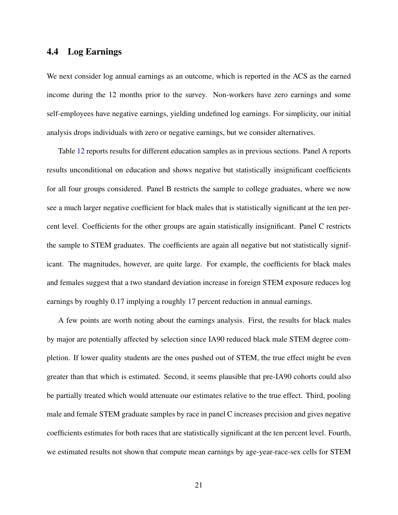#### 4.4 Log Earnings

We next consider log annual earnings as an outcome, which is reported in the ACS as the earned income during the 12 months prior to the survey. Non-workers have zero earnings and some self-employees have negative earnings, yielding undefined log earnings. For simplicity, our initial analysis drops individuals with zero or negative earnings, but we consider alternatives.

Table [12](#page-47-0) reports results for different education samples as in previous sections. Panel A reports results unconditional on education and shows negative but statistically insignificant coefficients for all four groups considered. Panel B restricts the sample to college graduates, where we now see a much larger negative coefficient for black males that is statistically significant at the ten percent level. Coefficients for the other groups are again statistically insignificant. Panel C restricts the sample to STEM graduates. The coefficients are again all negative but not statistically significant. The magnitudes, however, are quite large. For example, the coefficients for black males and females suggest that a two standard deviation increase in foreign STEM exposure reduces log earnings by roughly 0.17 implying a roughly 17 percent reduction in annual earnings.

A few points are worth noting about the earnings analysis. First, the results for black males by major are potentially affected by selection since IA90 reduced black male STEM degree completion. If lower quality students are the ones pushed out of STEM, the true effect might be even greater than that which is estimated. Second, it seems plausible that pre-IA90 cohorts could also be partially treated which would attenuate our estimates relative to the true effect. Third, pooling male and female STEM graduate samples by race in panel C increases precision and gives negative coefficients estimates for both races that are statistically significant at the ten percent level. Fourth, we estimated results not shown that compute mean earnings by age-year-race-sex cells for STEM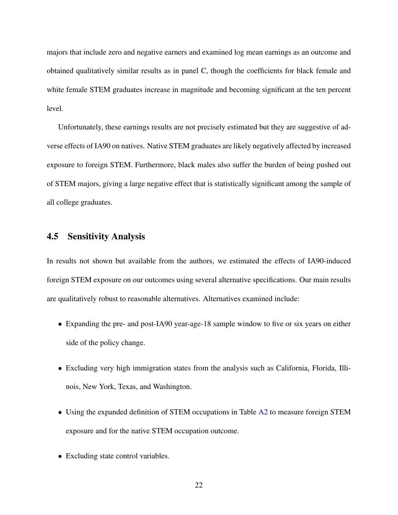majors that include zero and negative earners and examined log mean earnings as an outcome and obtained qualitatively similar results as in panel C, though the coefficients for black female and white female STEM graduates increase in magnitude and becoming significant at the ten percent level.

Unfortunately, these earnings results are not precisely estimated but they are suggestive of adverse effects of IA90 on natives. Native STEM graduates are likely negatively affected by increased exposure to foreign STEM. Furthermore, black males also suffer the burden of being pushed out of STEM majors, giving a large negative effect that is statistically significant among the sample of all college graduates.

#### 4.5 Sensitivity Analysis

In results not shown but available from the authors, we estimated the effects of IA90-induced foreign STEM exposure on our outcomes using several alternative specifications. Our main results are qualitatively robust to reasonable alternatives. Alternatives examined include:

- Expanding the pre- and post-IA90 year-age-18 sample window to five or six years on either side of the policy change.
- Excluding very high immigration states from the analysis such as California, Florida, Illinois, New York, Texas, and Washington.
- Using the expanded definition of STEM occupations in Table [A2](#page-49-0) to measure foreign STEM exposure and for the native STEM occupation outcome.
- Excluding state control variables.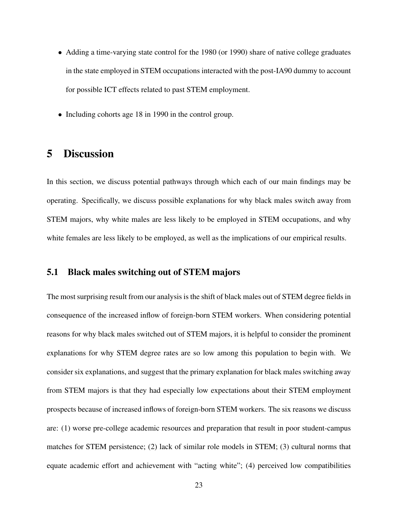- Adding a time-varying state control for the 1980 (or 1990) share of native college graduates in the state employed in STEM occupations interacted with the post-IA90 dummy to account for possible ICT effects related to past STEM employment.
- Including cohorts age 18 in 1990 in the control group.

### <span id="page-24-0"></span>5 Discussion

In this section, we discuss potential pathways through which each of our main findings may be operating. Specifically, we discuss possible explanations for why black males switch away from STEM majors, why white males are less likely to be employed in STEM occupations, and why white females are less likely to be employed, as well as the implications of our empirical results.

#### 5.1 Black males switching out of STEM majors

The most surprising result from our analysis is the shift of black males out of STEM degree fields in consequence of the increased inflow of foreign-born STEM workers. When considering potential reasons for why black males switched out of STEM majors, it is helpful to consider the prominent explanations for why STEM degree rates are so low among this population to begin with. We consider six explanations, and suggest that the primary explanation for black males switching away from STEM majors is that they had especially low expectations about their STEM employment prospects because of increased inflows of foreign-born STEM workers. The six reasons we discuss are: (1) worse pre-college academic resources and preparation that result in poor student-campus matches for STEM persistence; (2) lack of similar role models in STEM; (3) cultural norms that equate academic effort and achievement with "acting white"; (4) perceived low compatibilities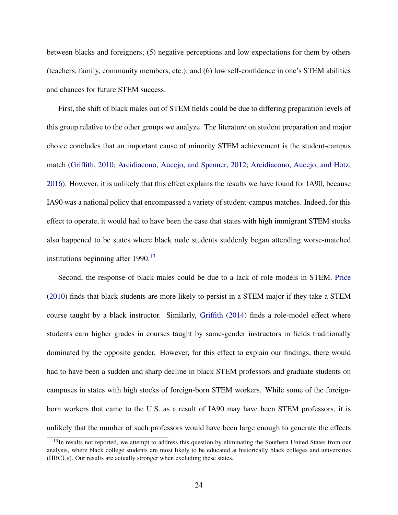between blacks and foreigners; (5) negative perceptions and low expectations for them by others (teachers, family, community members, etc.); and (6) low self-confidence in one's STEM abilities and chances for future STEM success.

First, the shift of black males out of STEM fields could be due to differing preparation levels of this group relative to the other groups we analyze. The literature on student preparation and major choice concludes that an important cause of minority STEM achievement is the student-campus match [\(Griffith,](#page-34-11) [2010;](#page-34-11) [Arcidiacono, Aucejo, and Spenner,](#page-33-9) [2012;](#page-33-9) [Arcidiacono, Aucejo, and Hotz,](#page-33-10) [2016\)](#page-33-10). However, it is unlikely that this effect explains the results we have found for IA90, because IA90 was a national policy that encompassed a variety of student-campus matches. Indeed, for this effect to operate, it would had to have been the case that states with high immigrant STEM stocks also happened to be states where black male students suddenly began attending worse-matched institutions beginning after  $1990.<sup>13</sup>$  $1990.<sup>13</sup>$  $1990.<sup>13</sup>$ 

Second, the response of black males could be due to a lack of role models in STEM. [Price](#page-36-9) [\(2010\)](#page-36-9) finds that black students are more likely to persist in a STEM major if they take a STEM course taught by a black instructor. Similarly, [Griffith](#page-34-12) [\(2014\)](#page-34-12) finds a role-model effect where students earn higher grades in courses taught by same-gender instructors in fields traditionally dominated by the opposite gender. However, for this effect to explain our findings, there would had to have been a sudden and sharp decline in black STEM professors and graduate students on campuses in states with high stocks of foreign-born STEM workers. While some of the foreignborn workers that came to the U.S. as a result of IA90 may have been STEM professors, it is unlikely that the number of such professors would have been large enough to generate the effects

<span id="page-25-0"></span><sup>&</sup>lt;sup>13</sup>In results not reported, we attempt to address this question by eliminating the Southern United States from our analysis, where black college students are most likely to be educated at historically black colleges and universities (HBCUs). Our results are actually stronger when excluding these states.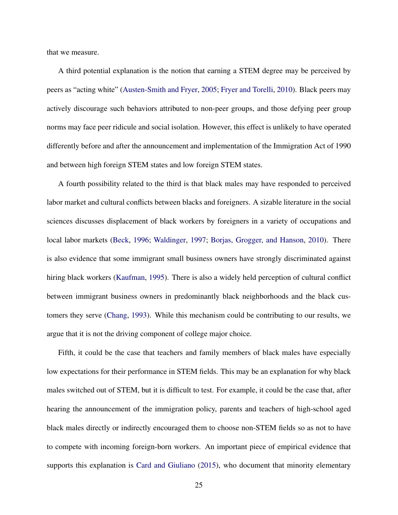that we measure.

A third potential explanation is the notion that earning a STEM degree may be perceived by peers as "acting white" [\(Austen-Smith and Fryer,](#page-33-11) [2005;](#page-33-11) [Fryer and Torelli,](#page-34-13) [2010\)](#page-34-13). Black peers may actively discourage such behaviors attributed to non-peer groups, and those defying peer group norms may face peer ridicule and social isolation. However, this effect is unlikely to have operated differently before and after the announcement and implementation of the Immigration Act of 1990 and between high foreign STEM states and low foreign STEM states.

A fourth possibility related to the third is that black males may have responded to perceived labor market and cultural conflicts between blacks and foreigners. A sizable literature in the social sciences discusses displacement of black workers by foreigners in a variety of occupations and local labor markets [\(Beck,](#page-33-12) [1996;](#page-33-12) [Waldinger,](#page-36-10) [1997;](#page-36-10) [Borjas, Grogger, and Hanson,](#page-33-7) [2010\)](#page-33-7). There is also evidence that some immigrant small business owners have strongly discriminated against hiring black workers [\(Kaufman,](#page-34-14) [1995\)](#page-34-14). There is also a widely held perception of cultural conflict between immigrant business owners in predominantly black neighborhoods and the black customers they serve [\(Chang,](#page-34-15) [1993\)](#page-34-15). While this mechanism could be contributing to our results, we argue that it is not the driving component of college major choice.

Fifth, it could be the case that teachers and family members of black males have especially low expectations for their performance in STEM fields. This may be an explanation for why black males switched out of STEM, but it is difficult to test. For example, it could be the case that, after hearing the announcement of the immigration policy, parents and teachers of high-school aged black males directly or indirectly encouraged them to choose non-STEM fields so as not to have to compete with incoming foreign-born workers. An important piece of empirical evidence that supports this explanation is [Card and Giuliano](#page-33-13) [\(2015\)](#page-33-13), who document that minority elementary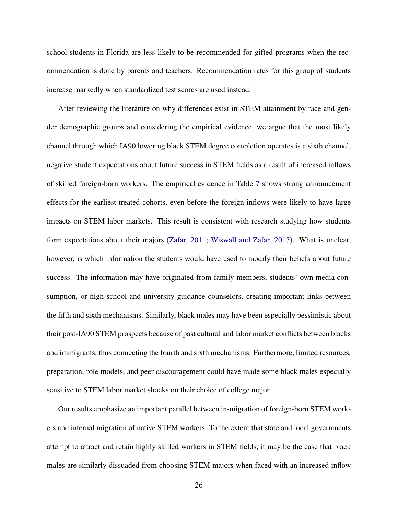school students in Florida are less likely to be recommended for gifted programs when the recommendation is done by parents and teachers. Recommendation rates for this group of students increase markedly when standardized test scores are used instead.

After reviewing the literature on why differences exist in STEM attainment by race and gender demographic groups and considering the empirical evidence, we argue that the most likely channel through which IA90 lowering black STEM degree completion operates is a sixth channel, negative student expectations about future success in STEM fields as a result of increased inflows of skilled foreign-born workers. The empirical evidence in Table [7](#page-42-0) shows strong announcement effects for the earliest treated cohorts, even before the foreign inflows were likely to have large impacts on STEM labor markets. This result is consistent with research studying how students form expectations about their majors [\(Zafar,](#page-36-4) [2011;](#page-36-4) [Wiswall and Zafar,](#page-36-5) [2015\)](#page-36-5). What is unclear, however, is which information the students would have used to modify their beliefs about future success. The information may have originated from family members, students' own media consumption, or high school and university guidance counselors, creating important links between the fifth and sixth mechanisms. Similarly, black males may have been especially pessimistic about their post-IA90 STEM prospects because of past cultural and labor market conflicts between blacks and immigrants, thus connecting the fourth and sixth mechanisms. Furthermore, limited resources, preparation, role models, and peer discouragement could have made some black males especially sensitive to STEM labor market shocks on their choice of college major.

Our results emphasize an important parallel between in-migration of foreign-born STEM workers and internal migration of native STEM workers. To the extent that state and local governments attempt to attract and retain highly skilled workers in STEM fields, it may be the case that black males are similarly dissuaded from choosing STEM majors when faced with an increased inflow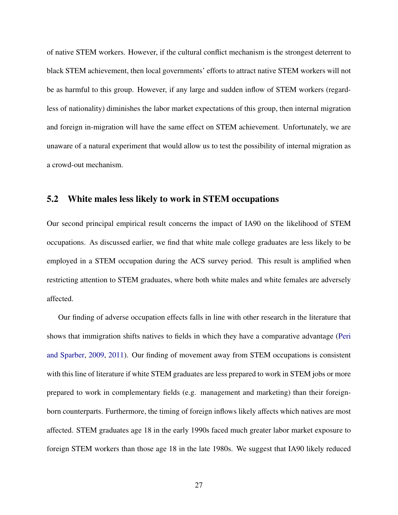of native STEM workers. However, if the cultural conflict mechanism is the strongest deterrent to black STEM achievement, then local governments' efforts to attract native STEM workers will not be as harmful to this group. However, if any large and sudden inflow of STEM workers (regardless of nationality) diminishes the labor market expectations of this group, then internal migration and foreign in-migration will have the same effect on STEM achievement. Unfortunately, we are unaware of a natural experiment that would allow us to test the possibility of internal migration as a crowd-out mechanism.

#### 5.2 White males less likely to work in STEM occupations

Our second principal empirical result concerns the impact of IA90 on the likelihood of STEM occupations. As discussed earlier, we find that white male college graduates are less likely to be employed in a STEM occupation during the ACS survey period. This result is amplified when restricting attention to STEM graduates, where both white males and white females are adversely affected.

Our finding of adverse occupation effects falls in line with other research in the literature that shows that immigration shifts natives to fields in which they have a comparative advantage [\(Peri](#page-35-10) [and Sparber,](#page-35-10) [2009,](#page-35-10) [2011\)](#page-35-11). Our finding of movement away from STEM occupations is consistent with this line of literature if white STEM graduates are less prepared to work in STEM jobs or more prepared to work in complementary fields (e.g. management and marketing) than their foreignborn counterparts. Furthermore, the timing of foreign inflows likely affects which natives are most affected. STEM graduates age 18 in the early 1990s faced much greater labor market exposure to foreign STEM workers than those age 18 in the late 1980s. We suggest that IA90 likely reduced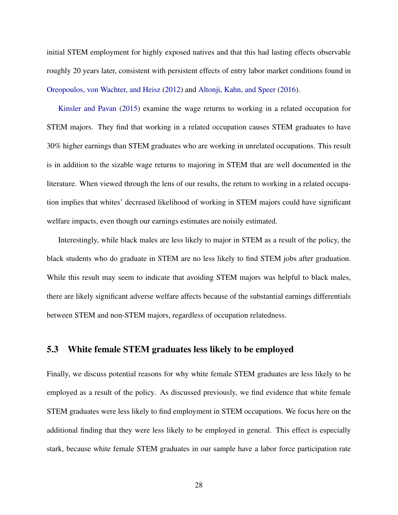initial STEM employment for highly exposed natives and that this had lasting effects observable roughly 20 years later, consistent with persistent effects of entry labor market conditions found in [Oreopoulos, von Wachter, and Heisz](#page-35-13) [\(2012\)](#page-35-13) and [Altonji, Kahn, and Speer](#page-33-8) [\(2016\)](#page-33-8).

[Kinsler and Pavan](#page-34-6) [\(2015\)](#page-34-6) examine the wage returns to working in a related occupation for STEM majors. They find that working in a related occupation causes STEM graduates to have 30% higher earnings than STEM graduates who are working in unrelated occupations. This result is in addition to the sizable wage returns to majoring in STEM that are well documented in the literature. When viewed through the lens of our results, the return to working in a related occupation implies that whites' decreased likelihood of working in STEM majors could have significant welfare impacts, even though our earnings estimates are noisily estimated.

Interestingly, while black males are less likely to major in STEM as a result of the policy, the black students who do graduate in STEM are no less likely to find STEM jobs after graduation. While this result may seem to indicate that avoiding STEM majors was helpful to black males, there are likely significant adverse welfare affects because of the substantial earnings differentials between STEM and non-STEM majors, regardless of occupation relatedness.

#### 5.3 White female STEM graduates less likely to be employed

Finally, we discuss potential reasons for why white female STEM graduates are less likely to be employed as a result of the policy. As discussed previously, we find evidence that white female STEM graduates were less likely to find employment in STEM occupations. We focus here on the additional finding that they were less likely to be employed in general. This effect is especially stark, because white female STEM graduates in our sample have a labor force participation rate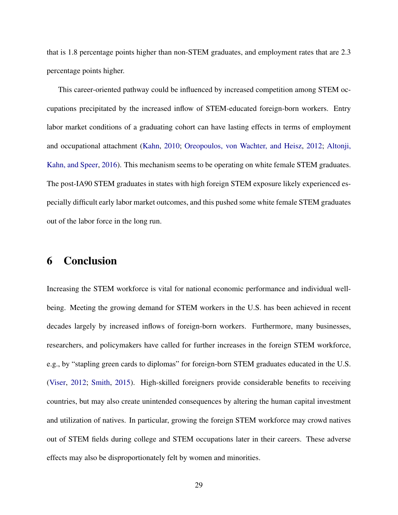that is 1.8 percentage points higher than non-STEM graduates, and employment rates that are 2.3 percentage points higher.

This career-oriented pathway could be influenced by increased competition among STEM occupations precipitated by the increased inflow of STEM-educated foreign-born workers. Entry labor market conditions of a graduating cohort can have lasting effects in terms of employment and occupational attachment [\(Kahn,](#page-34-7) [2010;](#page-34-7) [Oreopoulos, von Wachter, and Heisz,](#page-35-13) [2012;](#page-35-13) [Altonji,](#page-33-8) [Kahn, and Speer,](#page-33-8) [2016\)](#page-33-8). This mechanism seems to be operating on white female STEM graduates. The post-IA90 STEM graduates in states with high foreign STEM exposure likely experienced especially difficult early labor market outcomes, and this pushed some white female STEM graduates out of the labor force in the long run.

### <span id="page-30-0"></span>6 Conclusion

Increasing the STEM workforce is vital for national economic performance and individual wellbeing. Meeting the growing demand for STEM workers in the U.S. has been achieved in recent decades largely by increased inflows of foreign-born workers. Furthermore, many businesses, researchers, and policymakers have called for further increases in the foreign STEM workforce, e.g., by "stapling green cards to diplomas" for foreign-born STEM graduates educated in the U.S. [\(Viser,](#page-36-11) [2012;](#page-36-11) [Smith,](#page-36-12) [2015\)](#page-36-12). High-skilled foreigners provide considerable benefits to receiving countries, but may also create unintended consequences by altering the human capital investment and utilization of natives. In particular, growing the foreign STEM workforce may crowd natives out of STEM fields during college and STEM occupations later in their careers. These adverse effects may also be disproportionately felt by women and minorities.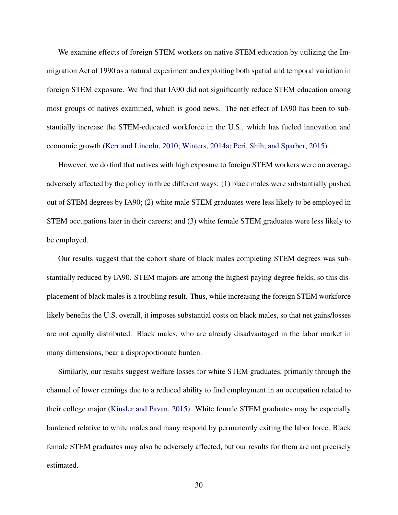We examine effects of foreign STEM workers on native STEM education by utilizing the Immigration Act of 1990 as a natural experiment and exploiting both spatial and temporal variation in foreign STEM exposure. We find that IA90 did not significantly reduce STEM education among most groups of natives examined, which is good news. The net effect of IA90 has been to substantially increase the STEM-educated workforce in the U.S., which has fueled innovation and economic growth [\(Kerr and Lincoln,](#page-34-9) [2010;](#page-34-9) [Winters,](#page-36-0) [2014a;](#page-36-0) [Peri, Shih, and Sparber,](#page-35-9) [2015\)](#page-35-9).

However, we do find that natives with high exposure to foreign STEM workers were on average adversely affected by the policy in three different ways: (1) black males were substantially pushed out of STEM degrees by IA90; (2) white male STEM graduates were less likely to be employed in STEM occupations later in their careers; and (3) white female STEM graduates were less likely to be employed.

Our results suggest that the cohort share of black males completing STEM degrees was substantially reduced by IA90. STEM majors are among the highest paying degree fields, so this displacement of black males is a troubling result. Thus, while increasing the foreign STEM workforce likely benefits the U.S. overall, it imposes substantial costs on black males, so that net gains/losses are not equally distributed. Black males, who are already disadvantaged in the labor market in many dimensions, bear a disproportionate burden.

Similarly, our results suggest welfare losses for white STEM graduates, primarily through the channel of lower earnings due to a reduced ability to find employment in an occupation related to their college major [\(Kinsler and Pavan,](#page-34-6) [2015\)](#page-34-6). White female STEM graduates may be especially burdened relative to white males and many respond by permanently exiting the labor force. Black female STEM graduates may also be adversely affected, but our results for them are not precisely estimated.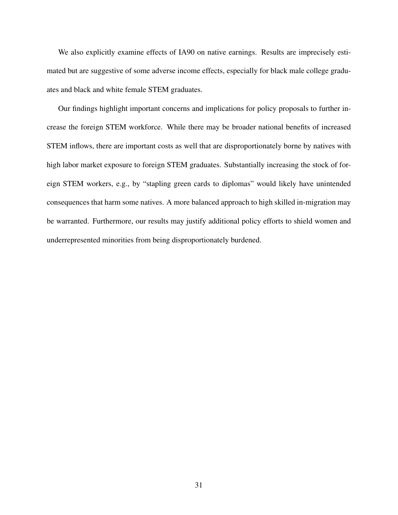We also explicitly examine effects of IA90 on native earnings. Results are imprecisely estimated but are suggestive of some adverse income effects, especially for black male college graduates and black and white female STEM graduates.

Our findings highlight important concerns and implications for policy proposals to further increase the foreign STEM workforce. While there may be broader national benefits of increased STEM inflows, there are important costs as well that are disproportionately borne by natives with high labor market exposure to foreign STEM graduates. Substantially increasing the stock of foreign STEM workers, e.g., by "stapling green cards to diplomas" would likely have unintended consequences that harm some natives. A more balanced approach to high skilled in-migration may be warranted. Furthermore, our results may justify additional policy efforts to shield women and underrepresented minorities from being disproportionately burdened.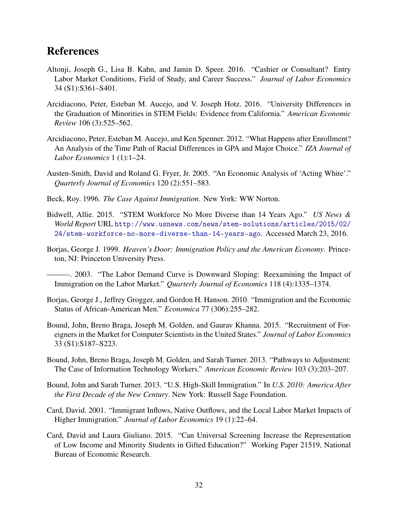# References

- <span id="page-33-8"></span>Altonji, Joseph G., Lisa B. Kahn, and Jamin D. Speer. 2016. "Cashier or Consultant? Entry Labor Market Conditions, Field of Study, and Career Success." *Journal of Labor Economics* 34 (S1):S361–S401.
- <span id="page-33-10"></span>Arcidiacono, Peter, Esteban M. Aucejo, and V. Joseph Hotz. 2016. "University Differences in the Graduation of Minorities in STEM Fields: Evidence from California." *American Economic Review* 106 (3):525–562.
- <span id="page-33-9"></span>Arcidiacono, Peter, Esteban M. Aucejo, and Ken Spenner. 2012. "What Happens after Enrollment? An Analysis of the Time Path of Racial Differences in GPA and Major Choice." *IZA Journal of Labor Economics* 1 (1):1–24.
- <span id="page-33-11"></span>Austen-Smith, David and Roland G. Fryer, Jr. 2005. "An Economic Analysis of 'Acting White'." *Quarterly Journal of Economics* 120 (2):551–583.
- <span id="page-33-12"></span>Beck, Roy. 1996. *The Case Against Immigration*. New York: WW Norton.
- <span id="page-33-0"></span>Bidwell, Allie. 2015. "STEM Workforce No More Diverse than 14 Years Ago." *US News & World Report* URL [http://www.usnews.com/news/stem-solutions/articles/2015/02/](http://www.usnews.com/news/stem-solutions/articles/2015/02/24/stem-workforce-no-more-diverse-than-14-years-ago) [24/stem-workforce-no-more-diverse-than-14-years-ago](http://www.usnews.com/news/stem-solutions/articles/2015/02/24/stem-workforce-no-more-diverse-than-14-years-ago). Accessed March 23, 2016.
- <span id="page-33-4"></span>Borjas, George J. 1999. *Heaven's Door: Immigration Policy and the American Economy*. Princeton, NJ: Princeton University Press.

<span id="page-33-5"></span>———. 2003. "The Labor Demand Curve is Downward Sloping: Reexamining the Impact of Immigration on the Labor Market." *Quarterly Journal of Economics* 118 (4):1335–1374.

- <span id="page-33-7"></span>Borjas, George J., Jeffrey Grogger, and Gordon H. Hanson. 2010. "Immigration and the Economic Status of African-American Men." *Economica* 77 (306):255–282.
- <span id="page-33-2"></span>Bound, John, Breno Braga, Joseph M. Golden, and Gaurav Khanna. 2015. "Recruitment of Foreigners in the Market for Computer Scientists in the United States." *Journal of Labor Economics* 33 (S1):S187–S223.
- <span id="page-33-1"></span>Bound, John, Breno Braga, Joseph M. Golden, and Sarah Turner. 2013. "Pathways to Adjustment: The Case of Information Technology Workers." *American Economic Review* 103 (3):203–207.
- <span id="page-33-3"></span>Bound, John and Sarah Turner. 2013. "U.S. High-Skill Immigration." In *U.S. 2010: America After the First Decade of the New Century*. New York: Russell Sage Foundation.
- <span id="page-33-6"></span>Card, David. 2001. "Immigrant Inflows, Native Outflows, and the Local Labor Market Impacts of Higher Immigration." *Journal of Labor Economics* 19 (1):22–64.
- <span id="page-33-13"></span>Card, David and Laura Giuliano. 2015. "Can Universal Screening Increase the Representation of Low Income and Minority Students in Gifted Education?" Working Paper 21519, National Bureau of Economic Research.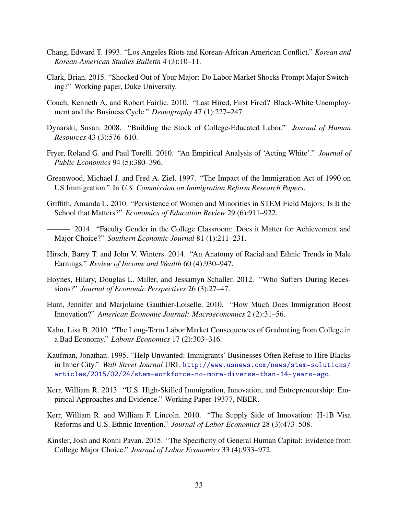- <span id="page-34-15"></span>Chang, Edward T. 1993. "Los Angeles Riots and Korean-African American Conflict." *Korean and Korean-American Studies Bulletin* 4 (3):10–11.
- <span id="page-34-5"></span>Clark, Brian. 2015. "Shocked Out of Your Major: Do Labor Market Shocks Prompt Major Switching?" Working paper, Duke University.
- <span id="page-34-2"></span>Couch, Kenneth A. and Robert Fairlie. 2010. "Last Hired, First Fired? Black-White Unemployment and the Business Cycle." *Demography* 47 (1):227–247.
- <span id="page-34-10"></span>Dynarski, Susan. 2008. "Building the Stock of College-Educated Labor." *Journal of Human Resources* 43 (3):576–610.
- <span id="page-34-13"></span>Fryer, Roland G. and Paul Torelli. 2010. "An Empirical Analysis of 'Acting White'." *Journal of Public Economics* 94 (5):380–396.
- <span id="page-34-1"></span>Greenwood, Michael J. and Fred A. Ziel. 1997. "The Impact of the Immigration Act of 1990 on US Immigration." In *U.S. Commission on Immigration Reform Research Papers*.
- <span id="page-34-11"></span>Griffith, Amanda L. 2010. "Persistence of Women and Minorities in STEM Field Majors: Is It the School that Matters?" *Economics of Education Review* 29 (6):911–922.
- <span id="page-34-12"></span>———. 2014. "Faculty Gender in the College Classroom: Does it Matter for Achievement and Major Choice?" *Southern Economic Journal* 81 (1):211–231.
- <span id="page-34-4"></span>Hirsch, Barry T. and John V. Winters. 2014. "An Anatomy of Racial and Ethnic Trends in Male Earnings." *Review of Income and Wealth* 60 (4):930–947.
- <span id="page-34-3"></span>Hoynes, Hilary, Douglas L. Miller, and Jessamyn Schaller. 2012. "Who Suffers During Recessions?" *Journal of Economic Perspectives* 26 (3):27–47.
- <span id="page-34-8"></span>Hunt, Jennifer and Marjolaine Gauthier-Loiselle. 2010. "How Much Does Immigration Boost Innovation?" *American Economic Journal: Macroeconomics* 2 (2):31–56.
- <span id="page-34-7"></span>Kahn, Lisa B. 2010. "The Long-Term Labor Market Consequences of Graduating from College in a Bad Economy." *Labour Economics* 17 (2):303–316.
- <span id="page-34-14"></span>Kaufman, Jonathan. 1995. "Help Unwanted: Immigrants' Businesses Often Refuse to Hire Blacks in Inner City." *Wall Street Journal* URL [http://www.usnews.com/news/stem-solutions/](http://www.usnews.com/news/stem-solutions/articles/2015/02/24/stem-workforce-no-more-diverse-than-14-years-ago) [articles/2015/02/24/stem-workforce-no-more-diverse-than-14-years-ago](http://www.usnews.com/news/stem-solutions/articles/2015/02/24/stem-workforce-no-more-diverse-than-14-years-ago).
- <span id="page-34-0"></span>Kerr, William R. 2013. "U.S. High-Skilled Immigration, Innovation, and Entrepreneurship: Empirical Approaches and Evidence." Working Paper 19377, NBER.
- <span id="page-34-9"></span>Kerr, William R. and William F. Lincoln. 2010. "The Supply Side of Innovation: H-1B Visa Reforms and U.S. Ethnic Invention." *Journal of Labor Economics* 28 (3):473–508.
- <span id="page-34-6"></span>Kinsler, Josh and Ronni Pavan. 2015. "The Specificity of General Human Capital: Evidence from College Major Choice." *Journal of Labor Economics* 33 (4):933–972.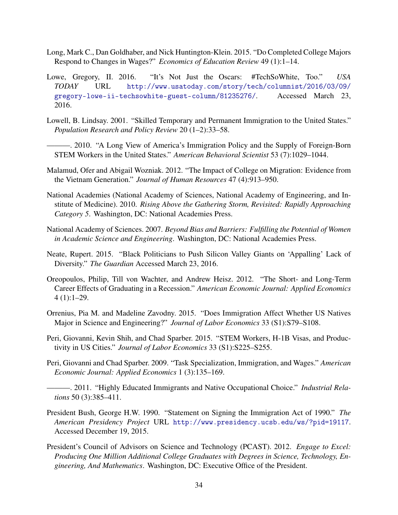- <span id="page-35-12"></span>Long, Mark C., Dan Goldhaber, and Nick Huntington-Klein. 2015. "Do Completed College Majors Respond to Changes in Wages?" *Economics of Education Review* 49 (1):1–14.
- <span id="page-35-4"></span>Lowe, Gregory, II. 2016. "It's Not Just the Oscars: #TechSoWhite, Too." *USA TODAY* URL [http://www.usatoday.com/story/tech/columnist/2016/03/09/](http://www.usatoday.com/story/tech/columnist/2016/03/09/gregory-lowe-ii-techsowhite-guest-column/81235276/) [gregory-lowe-ii-techsowhite-guest-column/81235276/](http://www.usatoday.com/story/tech/columnist/2016/03/09/gregory-lowe-ii-techsowhite-guest-column/81235276/). Accessed March 23, 2016.
- <span id="page-35-7"></span>Lowell, B. Lindsay. 2001. "Skilled Temporary and Permanent Immigration to the United States." *Population Research and Policy Review* 20 (1–2):33–58.
- <span id="page-35-8"></span>———. 2010. "A Long View of America's Immigration Policy and the Supply of Foreign-Born STEM Workers in the United States." *American Behavioral Scientist* 53 (7):1029–1044.
- <span id="page-35-14"></span>Malamud, Ofer and Abigail Wozniak. 2012. "The Impact of College on Migration: Evidence from the Vietnam Generation." *Journal of Human Resources* 47 (4):913–950.
- <span id="page-35-0"></span>National Academies (National Academy of Sciences, National Academy of Engineering, and Institute of Medicine). 2010. *Rising Above the Gathering Storm, Revisited: Rapidly Approaching Category 5*. Washington, DC: National Academies Press.
- <span id="page-35-2"></span>National Academy of Sciences. 2007. *Beyond Bias and Barriers: Fulfilling the Potential of Women in Academic Science and Engineering*. Washington, DC: National Academies Press.
- <span id="page-35-3"></span>Neate, Rupert. 2015. "Black Politicians to Push Silicon Valley Giants on 'Appalling' Lack of Diversity." *The Guardian* Accessed March 23, 2016.
- <span id="page-35-13"></span>Oreopoulos, Philip, Till von Wachter, and Andrew Heisz. 2012. "The Short- and Long-Term Career Effects of Graduating in a Recession." *American Economic Journal: Applied Economics* 4 (1):1–29.
- <span id="page-35-5"></span>Orrenius, Pia M. and Madeline Zavodny. 2015. "Does Immigration Affect Whether US Natives Major in Science and Engineering?" *Journal of Labor Economics* 33 (S1):S79–S108.
- <span id="page-35-9"></span>Peri, Giovanni, Kevin Shih, and Chad Sparber. 2015. "STEM Workers, H-1B Visas, and Productivity in US Cities." *Journal of Labor Economics* 33 (S1):S225–S255.
- <span id="page-35-10"></span>Peri, Giovanni and Chad Sparber. 2009. "Task Specialization, Immigration, and Wages." *American Economic Journal: Applied Economics* 1 (3):135–169.
- <span id="page-35-11"></span>———. 2011. "Highly Educated Immigrants and Native Occupational Choice." *Industrial Relations* 50 (3):385–411.
- <span id="page-35-6"></span>President Bush, George H.W. 1990. "Statement on Signing the Immigration Act of 1990." *The American Presidency Project* URL <http://www.presidency.ucsb.edu/ws/?pid=19117>. Accessed December 19, 2015.
- <span id="page-35-1"></span>President's Council of Advisors on Science and Technology (PCAST). 2012. *Engage to Excel: Producing One Million Additional College Graduates with Degrees in Science, Technology, Engineering, And Mathematics*. Washington, DC: Executive Office of the President.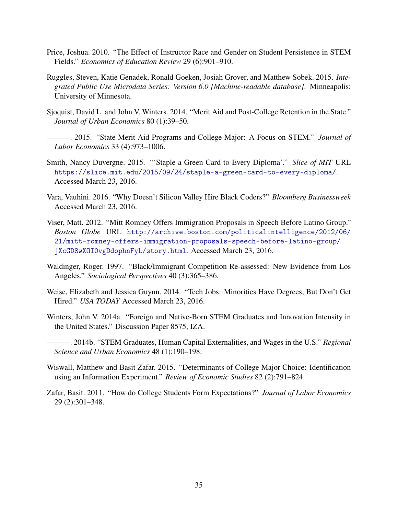- <span id="page-36-9"></span>Price, Joshua. 2010. "The Effect of Instructor Race and Gender on Student Persistence in STEM Fields." *Economics of Education Review* 29 (6):901–910.
- <span id="page-36-6"></span>Ruggles, Steven, Katie Genadek, Ronald Goeken, Josiah Grover, and Matthew Sobek. 2015. *Integrated Public Use Microdata Series: Version 6.0 [Machine-readable database]*. Minneapolis: University of Minnesota.
- <span id="page-36-7"></span>Sjoquist, David L. and John V. Winters. 2014. "Merit Aid and Post-College Retention in the State." *Journal of Urban Economics* 80 (1):39–50.
- <span id="page-36-8"></span>———. 2015. "State Merit Aid Programs and College Major: A Focus on STEM." *Journal of Labor Economics* 33 (4):973–1006.
- <span id="page-36-12"></span>Smith, Nancy Duvergne. 2015. "'Staple a Green Card to Every Diploma'." *Slice of MIT* URL <https://slice.mit.edu/2015/09/24/staple-a-green-card-to-every-diploma/>. Accessed March 23, 2016.
- <span id="page-36-3"></span>Vara, Vauhini. 2016. "Why Doesn't Silicon Valley Hire Black Coders?" *Bloomberg Businessweek* Accessed March 23, 2016.
- <span id="page-36-11"></span>Viser, Matt. 2012. "Mitt Romney Offers Immigration Proposals in Speech Before Latino Group." *Boston Globe* URL [http://archive.boston.com/politicalintelligence/2012/06/](http://archive.boston.com/politicalintelligence/2012/06/21/mitt-romney-offers-immigration-proposals-speech-before-latino-group/jXcGD8wXOI0vgDdophnFyL/story.html) [21/mitt-romney-offers-immigration-proposals-speech-before-latino-group/](http://archive.boston.com/politicalintelligence/2012/06/21/mitt-romney-offers-immigration-proposals-speech-before-latino-group/jXcGD8wXOI0vgDdophnFyL/story.html) [jXcGD8wXOI0vgDdophnFyL/story.html](http://archive.boston.com/politicalintelligence/2012/06/21/mitt-romney-offers-immigration-proposals-speech-before-latino-group/jXcGD8wXOI0vgDdophnFyL/story.html). Accessed March 23, 2016.
- <span id="page-36-10"></span>Waldinger, Roger. 1997. "Black/Immigrant Competition Re-assessed: New Evidence from Los Angeles." *Sociological Perspectives* 40 (3):365–386.
- <span id="page-36-2"></span>Weise, Elizabeth and Jessica Guynn. 2014. "Tech Jobs: Minorities Have Degrees, But Don't Get Hired." *USA TODAY* Accessed March 23, 2016.
- <span id="page-36-1"></span><span id="page-36-0"></span>Winters, John V. 2014a. "Foreign and Native-Born STEM Graduates and Innovation Intensity in the United States." Discussion Paper 8575, IZA.
	- ———. 2014b. "STEM Graduates, Human Capital Externalities, and Wages in the U.S." *Regional Science and Urban Economics* 48 (1):190–198.
- <span id="page-36-5"></span>Wiswall, Matthew and Basit Zafar. 2015. "Determinants of College Major Choice: Identification using an Information Experiment." *Review of Economic Studies* 82 (2):791–824.
- <span id="page-36-4"></span>Zafar, Basit. 2011. "How do College Students Form Expectations?" *Journal of Labor Economics* 29 (2):301–348.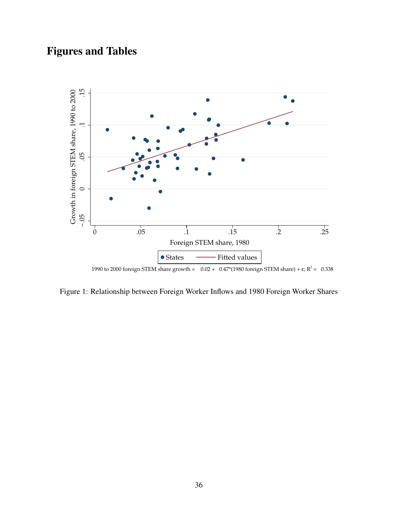# Figures and Tables

<span id="page-37-0"></span>

Figure 1: Relationship between Foreign Worker Inflows and 1980 Foreign Worker Shares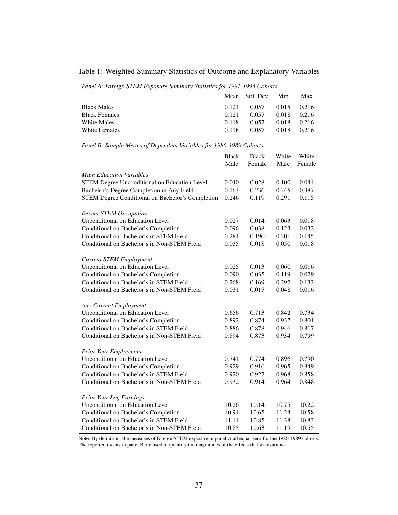<span id="page-38-0"></span>Table 1: Weighted Summary Statistics of Outcome and Explanatory Variables

*Panel A: Foreign STEM Exposure Summary Statistics for 1991-1994 Cohorts*

|                      |       | Mean Std. Dev. | Min   | Max   |
|----------------------|-------|----------------|-------|-------|
| <b>Black Males</b>   | 0.121 | 0.057          | 0.018 | 0.216 |
| <b>Black Females</b> | 0.121 | 0.057          | 0.018 | 0.216 |
| White Males          | 0.118 | 0.057          | 0.018 | 0.216 |
| White Females        | 0.118 | 0.057          | 0.018 | 0.216 |

*Panel B: Sample Means of Dependent Variables for 1986-1989 Cohorts*

|                                                  | <b>Black</b> | <b>Black</b> | White | White  |
|--------------------------------------------------|--------------|--------------|-------|--------|
|                                                  | Male         | Female       | Male  | Female |
| <b>Main Education Variables</b>                  |              |              |       |        |
| STEM Degree Unconditional on Education Level     | 0.040        | 0.028        | 0.100 | 0.044  |
| Bachelor's Degree Completion in Any Field        | 0.163        | 0.236        | 0.345 | 0.387  |
| STEM Degree Conditional on Bachelor's Completion | 0.246        | 0.119        | 0.291 | 0.115  |
|                                                  |              |              |       |        |
| <b>Recent STEM Occupation</b>                    |              |              |       |        |
| <b>Unconditional on Education Level</b>          | 0.027        | 0.014        | 0.063 | 0.018  |
| Conditional on Bachelor's Completion             | 0.096        | 0.038        | 0.123 | 0.032  |
| Conditional on Bachelor's in STEM Field          | 0.284        | 0.190        | 0.301 | 0.145  |
| Conditional on Bachelor's in Non-STEM Field      | 0.035        | 0.018        | 0.050 | 0.018  |
|                                                  |              |              |       |        |
| <b>Current STEM Employment</b>                   |              |              |       |        |
| Unconditional on Education Level                 | 0.025        | 0.013        | 0.060 | 0.016  |
| Conditional on Bachelor's Completion             | 0.090        | 0.035        | 0.119 | 0.029  |
| Conditional on Bachelor's in STEM Field          | 0.268        | 0.169        | 0.292 | 0.132  |
| Conditional on Bachelor's in Non-STEM Field      | 0.031        | 0.017        | 0.048 | 0.016  |
|                                                  |              |              |       |        |
| Any Current Employment                           |              |              |       |        |
| <b>Unconditional on Education Level</b>          | 0.656        | 0.713        | 0.842 | 0.734  |
| Conditional on Bachelor's Completion             | 0.892        | 0.874        | 0.937 | 0.801  |
| Conditional on Bachelor's in STEM Field          | 0.886        | 0.878        | 0.946 | 0.817  |
| Conditional on Bachelor's in Non-STEM Field      | 0.894        | 0.873        | 0.934 | 0.799  |
|                                                  |              |              |       |        |
| Prior Year Employment                            |              |              |       |        |
| Unconditional on Education Level                 | 0.741        | 0.774        | 0.896 | 0.790  |
| Conditional on Bachelor's Completion             | 0.929        | 0.916        | 0.965 | 0.849  |
| Conditional on Bachelor's in STEM Field          | 0.920        | 0.927        | 0.968 | 0.858  |
| Conditional on Bachelor's in Non-STEM Field      | 0.932        | 0.914        | 0.964 | 0.848  |
|                                                  |              |              |       |        |
| Prior Year Log Earnings                          |              |              |       |        |
| Unconditional on Education Level                 | 10.26        | 10.14        | 10.75 | 10.22  |
| Conditional on Bachelor's Completion             | 10.91        | 10.65        | 11.24 | 10.58  |
| Conditional on Bachelor's in STEM Field          | 11.11        | 10.85        | 11.38 | 10.83  |
| Conditional on Bachelor's in Non-STEM Field      | 10.85        | 10.63        | 11.19 | 10.55  |

Note: By definition, the measures of foreign STEM exposure in panel A all equal zero for the 1986-1989 cohorts. The reported means in panel B are used to quantify the magnitudes of the effects that we examine.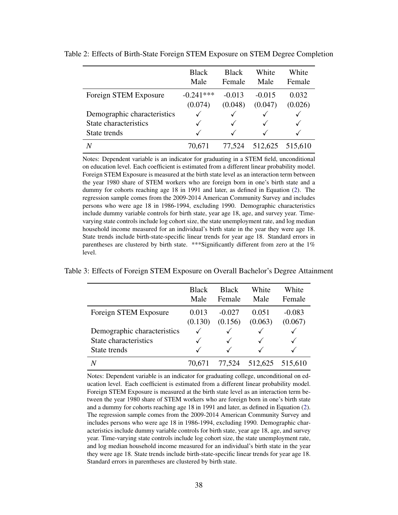|                             | <b>Black</b><br>Male | <b>Black</b><br>Female | White<br>Male | White<br>Female |
|-----------------------------|----------------------|------------------------|---------------|-----------------|
| Foreign STEM Exposure       | $-0.241***$          | $-0.013$               | $-0.015$      | 0.032           |
|                             | (0.074)              | (0.048)                | (0.047)       | (0.026)         |
| Demographic characteristics |                      |                        |               |                 |
| State characteristics       |                      |                        |               |                 |
| State trends                |                      |                        |               |                 |
| N                           | 70,671               | 77.524                 | 512,625       | 515,610         |

<span id="page-39-0"></span>Table 2: Effects of Birth-State Foreign STEM Exposure on STEM Degree Completion

Notes: Dependent variable is an indicator for graduating in a STEM field, unconditional on education level. Each coefficient is estimated from a different linear probability model. Foreign STEM Exposure is measured at the birth state level as an interaction term between the year 1980 share of STEM workers who are foreign born in one's birth state and a dummy for cohorts reaching age 18 in 1991 and later, as defined in Equation [\(2\)](#page-13-1). The regression sample comes from the 2009-2014 American Community Survey and includes persons who were age 18 in 1986-1994, excluding 1990. Demographic characteristics include dummy variable controls for birth state, year age 18, age, and survey year. Timevarying state controls include log cohort size, the state unemployment rate, and log median household income measured for an individual's birth state in the year they were age 18. State trends include birth-state-specific linear trends for year age 18. Standard errors in parentheses are clustered by birth state. \*\*\*Significantly different from zero at the 1% level.

<span id="page-39-1"></span>Table 3: Effects of Foreign STEM Exposure on Overall Bachelor's Degree Attainment

|                             | <b>Black</b> | <b>Black</b> | White   | White    |
|-----------------------------|--------------|--------------|---------|----------|
|                             | Male         | Female       | Male    | Female   |
| Foreign STEM Exposure       | 0.013        | $-0.027$     | 0.051   | $-0.083$ |
|                             | (0.130)      | (0.156)      | (0.063) | (0.067)  |
| Demographic characteristics |              |              |         |          |
| State characteristics       |              |              |         |          |
| State trends                |              |              |         |          |
|                             |              | 77,524       | 512,625 | 515,610  |

Notes: Dependent variable is an indicator for graduating college, unconditional on education level. Each coefficient is estimated from a different linear probability model. Foreign STEM Exposure is measured at the birth state level as an interaction term between the year 1980 share of STEM workers who are foreign born in one's birth state and a dummy for cohorts reaching age 18 in 1991 and later, as defined in Equation [\(2\)](#page-13-1). The regression sample comes from the 2009-2014 American Community Survey and includes persons who were age 18 in 1986-1994, excluding 1990. Demographic characteristics include dummy variable controls for birth state, year age 18, age, and survey year. Time-varying state controls include log cohort size, the state unemployment rate, and log median household income measured for an individual's birth state in the year they were age 18. State trends include birth-state-specific linear trends for year age 18. Standard errors in parentheses are clustered by birth state.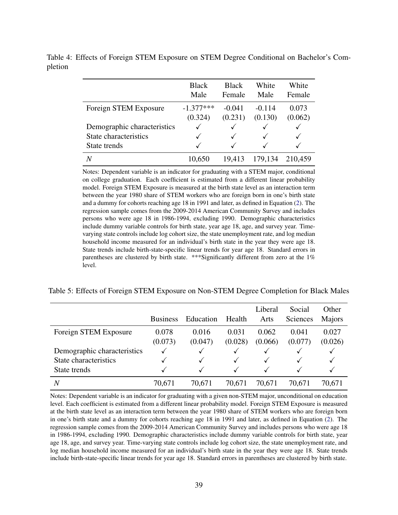|                             | <b>Black</b><br>Male | <b>Black</b><br>Female | White<br>Male | White<br>Female |
|-----------------------------|----------------------|------------------------|---------------|-----------------|
| Foreign STEM Exposure       | $-1.377***$          | $-0.041$               | $-0.114$      | 0.073           |
|                             | (0.324)              | (0.231)                | (0.130)       | (0.062)         |
| Demographic characteristics | ✓                    |                        |               |                 |
| State characteristics       | √                    |                        |               |                 |
| State trends                | √                    |                        |               |                 |
| Ν                           | 10,650               | 19,413                 | 179,134       | 210,459         |

<span id="page-40-0"></span>Table 4: Effects of Foreign STEM Exposure on STEM Degree Conditional on Bachelor's Completion

> Notes: Dependent variable is an indicator for graduating with a STEM major, conditional on college graduation. Each coefficient is estimated from a different linear probability model. Foreign STEM Exposure is measured at the birth state level as an interaction term between the year 1980 share of STEM workers who are foreign born in one's birth state and a dummy for cohorts reaching age 18 in 1991 and later, as defined in Equation [\(2\)](#page-13-1). The regression sample comes from the 2009-2014 American Community Survey and includes persons who were age 18 in 1986-1994, excluding 1990. Demographic characteristics include dummy variable controls for birth state, year age 18, age, and survey year. Timevarying state controls include log cohort size, the state unemployment rate, and log median household income measured for an individual's birth state in the year they were age 18. State trends include birth-state-specific linear trends for year age 18. Standard errors in parentheses are clustered by birth state. \*\*\* Significantly different from zero at the 1% level.

<span id="page-40-1"></span>

|  | Table 5: Effects of Foreign STEM Exposure on Non-STEM Degree Completion for Black Males |  |  |  |
|--|-----------------------------------------------------------------------------------------|--|--|--|
|  |                                                                                         |  |  |  |

|                             | <b>Business</b> | Education | Health  | Liberal<br>Arts | Social<br>Sciences | Other<br>Majors |
|-----------------------------|-----------------|-----------|---------|-----------------|--------------------|-----------------|
| Foreign STEM Exposure       | 0.078           | 0.016     | 0.031   | 0.062           | 0.041              | 0.027           |
|                             | (0.073)         | (0.047)   | (0.028) | (0.066)         | (0.077)            | (0.026)         |
| Demographic characteristics |                 | √         |         | V               | √                  |                 |
| State characteristics       |                 | √         |         |                 |                    |                 |
| State trends                |                 |           |         |                 |                    |                 |
| $\overline{N}$              | 70,671          | 70,671    | 70,671  | 70,671          | 70,671             | 70,671          |

Notes: Dependent variable is an indicator for graduating with a given non-STEM major, unconditional on education level. Each coefficient is estimated from a different linear probability model. Foreign STEM Exposure is measured at the birth state level as an interaction term between the year 1980 share of STEM workers who are foreign born in one's birth state and a dummy for cohorts reaching age 18 in 1991 and later, as defined in Equation [\(2\)](#page-13-1). The regression sample comes from the 2009-2014 American Community Survey and includes persons who were age 18 in 1986-1994, excluding 1990. Demographic characteristics include dummy variable controls for birth state, year age 18, age, and survey year. Time-varying state controls include log cohort size, the state unemployment rate, and log median household income measured for an individual's birth state in the year they were age 18. State trends include birth-state-specific linear trends for year age 18. Standard errors in parentheses are clustered by birth state.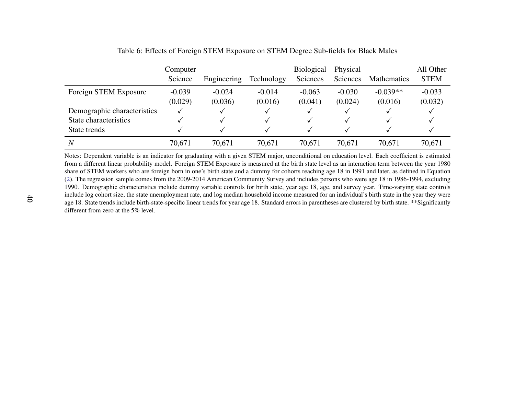|                                                                      | Computer<br>Science | Engineering         | Technology          | <b>Biological</b><br>Sciences | Physical<br>Sciences | <b>Mathematics</b>    | All Other<br><b>STEM</b> |
|----------------------------------------------------------------------|---------------------|---------------------|---------------------|-------------------------------|----------------------|-----------------------|--------------------------|
| Foreign STEM Exposure                                                | $-0.039$<br>(0.029) | $-0.024$<br>(0.036) | $-0.014$<br>(0.016) | $-0.063$<br>(0.041)           | $-0.030$<br>(0.024)  | $-0.039**$<br>(0.016) | $-0.033$<br>(0.032)      |
| Demographic characteristics<br>State characteristics<br>State trends | v                   |                     |                     |                               |                      |                       |                          |
| $\overline{N}$                                                       | 70,671              | 70,671              | 70,671              | 70,671                        | 70,671               | 70,671                | 70,671                   |

Table 6: Effects of Foreign STEM Exposure on STEM Degree Sub-fields for Black Males

<span id="page-41-0"></span>Notes: Dependent variable is an indicator for graduating with <sup>a</sup> given STEM major, unconditional on education level. Each coefficient is estimated from <sup>a</sup> different linear probability model. Foreign STEM Exposure is measured at the birth state level as an interaction term between the year 1980 share of STEM workers who are foreign born in one's birth state and <sup>a</sup> dummy for cohorts reaching age 18 in 1991 and later, as defined in Equation [\(2\)](#page-13-2). The regression sample comes from the 2009-2014 American Community Survey and includes persons who were age 18 in 1986-1994, excluding 1990. Demographic characteristics include dummy variable controls for birth state, year age 18, age, and survey year. Time-varying state controls include log cohort size, the state unemployment rate, and log median household income measured for an individual's birth state in the year they were age 18. State trends include birth-state-specific linear trends for year age 18. Standard errors in parentheses are clustered by birth state. \*\*Significantlydifferent from zero at the 5% level.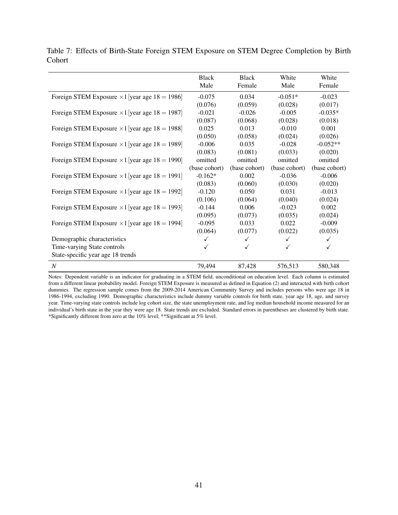| Cohort                                                |              |              |           |           |
|-------------------------------------------------------|--------------|--------------|-----------|-----------|
|                                                       | <b>Black</b> | <b>Black</b> | White     | White     |
|                                                       | Male         | Female       | Male      | Female    |
| Foreign STEM Exposure $\times$ 1 [year age 18 = 1986] | $-0.075$     | 0.034        | $-0.051*$ | $-0.023$  |
|                                                       | (0.076)      | (0.059)      | (0.028)   | (0.017)   |
| Foreign STEM Exposure $\times$ 1 [year age 18 = 1987] | $-0.021$     | $-0.026$     | $-0.005$  | $-0.035*$ |
|                                                       | (0.087)      | (0.068)      | (0.028)   | (0.018)   |

<span id="page-42-0"></span>Table 7: Effects of Birth-State Foreign STEM Exposure on STEM Degree Completion by Birth

| Foreign STEM Exposure $\times$ 1 [year age 18 = 1986] | $-0.075$      | 0.034         | $-0.051*$     | $-0.023$      |
|-------------------------------------------------------|---------------|---------------|---------------|---------------|
|                                                       | (0.076)       | (0.059)       | (0.028)       | (0.017)       |
| Foreign STEM Exposure $\times$ 1 [year age 18 = 1987] | $-0.021$      | $-0.026$      | $-0.005$      | $-0.035*$     |
|                                                       | (0.087)       | (0.068)       | (0.028)       | (0.018)       |
| Foreign STEM Exposure $\times$ 1 [year age 18 = 1988] | 0.025         | 0.013         | $-0.010$      | 0.001         |
|                                                       | (0.050)       | (0.058)       | (0.024)       | (0.026)       |
| Foreign STEM Exposure $\times$ 1 [year age 18 = 1989] | $-0.006$      | 0.035         | $-0.028$      | $-0.052**$    |
|                                                       | (0.083)       | (0.081)       | (0.033)       | (0.020)       |
| Foreign STEM Exposure $\times$ 1 [year age 18 = 1990] | omitted       | omitted       | omitted       | omitted       |
|                                                       | (base cohort) | (base cohort) | (base cohort) | (base cohort) |
| Foreign STEM Exposure $\times$ 1 [year age 18 = 1991] | $-0.162*$     | 0.002         | $-0.036$      | $-0.006$      |
|                                                       | (0.083)       | (0.060)       | (0.030)       | (0.020)       |
| Foreign STEM Exposure $\times$ 1 [year age 18 = 1992] | $-0.120$      | 0.050         | 0.031         | $-0.013$      |
|                                                       | (0.106)       | (0.064)       | (0.040)       | (0.024)       |
| Foreign STEM Exposure $\times$ 1 [year age 18 = 1993] | $-0.144$      | 0.006         | $-0.023$      | 0.002         |
|                                                       | (0.095)       | (0.073)       | (0.035)       | (0.024)       |
| Foreign STEM Exposure $\times$ 1 [year age 18 = 1994] | $-0.095$      | 0.033         | 0.022         | $-0.009$      |
|                                                       | (0.064)       | (0.077)       | (0.022)       | (0.035)       |
| Demographic characteristics                           |               | ✓             | $\checkmark$  | ✓             |
| Time-varying State controls                           |               |               |               | ✓             |
| State-specific year age 18 trends                     |               |               |               |               |
| $\overline{N}$                                        | 79,494        | 87,428        | 576,513       | 580,348       |

Notes: Dependent variable is an indicator for graduating in a STEM field, unconditional on education level. Each column is estimated from a different linear probability model. Foreign STEM Exposure is measured as defined in Equation [\(2\)](#page-13-1) and interacted with birth cohort dummies. The regression sample comes from the 2009-2014 American Community Survey and includes persons who were age 18 in 1986-1994, excluding 1990. Demographic characteristics include dummy variable controls for birth state, year age 18, age, and survey year. Time-varying state controls include log cohort size, the state unemployment rate, and log median household income measured for an individual's birth state in the year they were age 18. State trends are excluded. Standard errors in parentheses are clustered by birth state. \*Significantly different from zero at the 10% level; \*\*Significant at 5% level.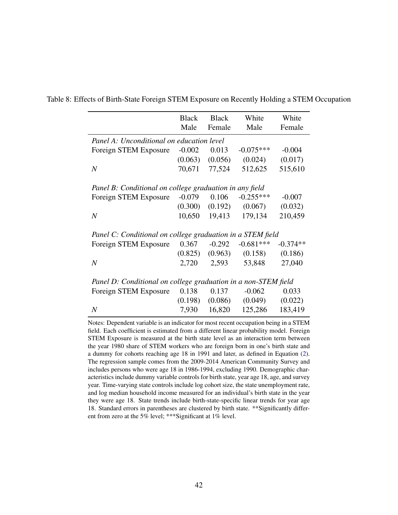|                                                                | <b>Black</b> | <b>Black</b> | White               | White      |
|----------------------------------------------------------------|--------------|--------------|---------------------|------------|
|                                                                | Male         | Female       | Male                | Female     |
|                                                                |              |              |                     |            |
| Panel A: Unconditional on education level                      |              |              |                     |            |
| Foreign STEM Exposure                                          | $-0.002$     | 0.013        | $-0.075***$         | $-0.004$   |
|                                                                | (0.063)      | (0.056)      | (0.024)             | (0.017)    |
| $\overline{N}$                                                 | 70,671       | 77,524       | 512,625             | 515,610    |
|                                                                |              |              |                     |            |
| Panel B: Conditional on college graduation in any field        |              |              |                     |            |
| Foreign STEM Exposure                                          | $-0.079$     | 0.106        | $-0.255***$         | $-0.007$   |
|                                                                | (0.300)      | (0.192)      | (0.067)             | (0.032)    |
| $\boldsymbol{N}$                                               | 10,650       | 19,413       | 179,134             | 210,459    |
| Panel C: Conditional on college graduation in a STEM field     |              |              |                     |            |
| Foreign STEM Exposure                                          | 0.367        | $-0.292$     | $-0.681***$         | $-0.374**$ |
|                                                                | (0.825)      |              | $(0.963)$ $(0.158)$ | (0.186)    |
| $\boldsymbol{N}$                                               | 2,720        | 2,593        | 53,848              | 27,040     |
|                                                                |              |              |                     |            |
| Panel D: Conditional on college graduation in a non-STEM field |              |              |                     |            |
| Foreign STEM Exposure                                          | 0.138        | 0.137        | $-0.062$            | 0.033      |
|                                                                | (0.198)      | (0.086)      | (0.049)             | (0.022)    |
| $\boldsymbol{N}$                                               | 7,930        | 16,820       | 125,286             | 183,419    |

<span id="page-43-0"></span>Table 8: Effects of Birth-State Foreign STEM Exposure on Recently Holding a STEM Occupation

Notes: Dependent variable is an indicator for most recent occupation being in a STEM field. Each coefficient is estimated from a different linear probability model. Foreign STEM Exposure is measured at the birth state level as an interaction term between the year 1980 share of STEM workers who are foreign born in one's birth state and a dummy for cohorts reaching age 18 in 1991 and later, as defined in Equation [\(2\)](#page-13-1). The regression sample comes from the 2009-2014 American Community Survey and includes persons who were age 18 in 1986-1994, excluding 1990. Demographic characteristics include dummy variable controls for birth state, year age 18, age, and survey year. Time-varying state controls include log cohort size, the state unemployment rate, and log median household income measured for an individual's birth state in the year they were age 18. State trends include birth-state-specific linear trends for year age 18. Standard errors in parentheses are clustered by birth state. \*\*Significantly different from zero at the 5% level; \*\*\*Significant at 1% level.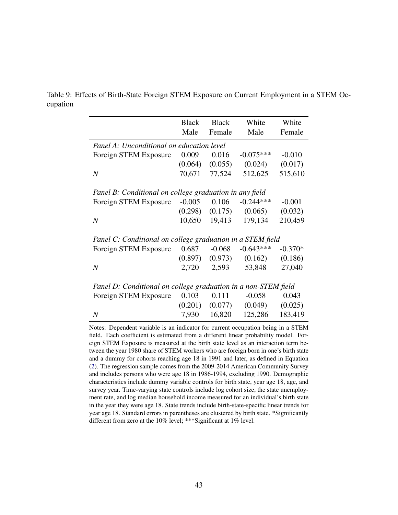|                                                                | <b>Black</b><br>Male | <b>Black</b><br>Female | White<br>Male | White<br>Female |
|----------------------------------------------------------------|----------------------|------------------------|---------------|-----------------|
| Panel A: Unconditional on education level                      |                      |                        |               |                 |
| Foreign STEM Exposure                                          | 0.009                | 0.016                  | $-0.075***$   | $-0.010$        |
|                                                                | (0.064)              | (0.055)                | (0.024)       | (0.017)         |
| $\boldsymbol{N}$                                               | 70,671               | 77,524                 | 512,625       | 515,610         |
|                                                                |                      |                        |               |                 |
| Panel B: Conditional on college graduation in any field        |                      |                        |               |                 |
| Foreign STEM Exposure                                          | $-0.005$             | 0.106                  | $-0.244***$   | $-0.001$        |
|                                                                | (0.298)              | (0.175)                | (0.065)       | (0.032)         |
| $\boldsymbol{N}$                                               | 10,650               | 19,413                 | 179,134       | 210,459         |
| Panel C: Conditional on college graduation in a STEM field     |                      |                        |               |                 |
| Foreign STEM Exposure                                          | 0.687                | $-0.068$               | $-0.643***$   | $-0.370*$       |
|                                                                | (0.897)              | (0.973)                | (0.162)       | (0.186)         |
| $\boldsymbol{N}$                                               | 2,720                | 2,593                  | 53,848        | 27,040          |
|                                                                |                      |                        |               |                 |
| Panel D: Conditional on college graduation in a non-STEM field |                      |                        |               |                 |
| Foreign STEM Exposure                                          | 0.103                | 0.111                  | $-0.058$      | 0.043           |
|                                                                | (0.201)              | (0.077)                | (0.049)       | (0.025)         |
| $\boldsymbol{N}$                                               | 7,930                | 16,820                 | 125,286       | 183,419         |

<span id="page-44-0"></span>Table 9: Effects of Birth-State Foreign STEM Exposure on Current Employment in a STEM Occupation

> Notes: Dependent variable is an indicator for current occupation being in a STEM field. Each coefficient is estimated from a different linear probability model. Foreign STEM Exposure is measured at the birth state level as an interaction term between the year 1980 share of STEM workers who are foreign born in one's birth state and a dummy for cohorts reaching age 18 in 1991 and later, as defined in Equation [\(2\)](#page-13-1). The regression sample comes from the 2009-2014 American Community Survey and includes persons who were age 18 in 1986-1994, excluding 1990. Demographic characteristics include dummy variable controls for birth state, year age 18, age, and survey year. Time-varying state controls include log cohort size, the state unemployment rate, and log median household income measured for an individual's birth state in the year they were age 18. State trends include birth-state-specific linear trends for year age 18. Standard errors in parentheses are clustered by birth state. \*Significantly different from zero at the 10% level; \*\*\*Significant at 1% level.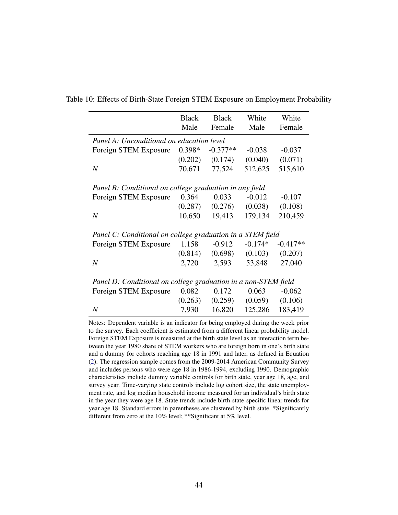|                                                                | <b>Black</b> | <b>Black</b> |           | White      |
|----------------------------------------------------------------|--------------|--------------|-----------|------------|
|                                                                | Male         | Female       | Male      | Female     |
| Panel A: Unconditional on education level                      |              |              |           |            |
| Foreign STEM Exposure                                          | $0.398*$     | $-0.377**$   | $-0.038$  | $-0.037$   |
|                                                                | (0.202)      | (0.174)      | (0.040)   | (0.071)    |
| $\overline{N}$                                                 | 70,671       | 77,524       | 512,625   | 515,610    |
|                                                                |              |              |           |            |
| Panel B: Conditional on college graduation in any field        |              |              |           |            |
| Foreign STEM Exposure                                          | 0.364        | 0.033        | $-0.012$  | $-0.107$   |
|                                                                | (0.287)      | (0.276)      | (0.038)   | (0.108)    |
| $\boldsymbol{N}$                                               | 10,650       | 19,413       | 179,134   | 210,459    |
| Panel C: Conditional on college graduation in a STEM field     |              |              |           |            |
| Foreign STEM Exposure                                          | 1.158        | $-0.912$     | $-0.174*$ | $-0.417**$ |
|                                                                | (0.814)      | (0.698)      | (0.103)   | (0.207)    |
| $\boldsymbol{N}$                                               | 2,720        | 2,593        | 53,848    | 27,040     |
|                                                                |              |              |           |            |
| Panel D: Conditional on college graduation in a non-STEM field |              |              |           |            |
| Foreign STEM Exposure                                          | 0.082        | 0.172        | 0.063     | $-0.062$   |
|                                                                | (0.263)      | (0.259)      | (0.059)   | (0.106)    |
| $\boldsymbol{N}$                                               | 7,930        | 16,820       | 125,286   | 183,419    |

<span id="page-45-0"></span>Table 10: Effects of Birth-State Foreign STEM Exposure on Employment Probability

Notes: Dependent variable is an indicator for being employed during the week prior to the survey. Each coefficient is estimated from a different linear probability model. Foreign STEM Exposure is measured at the birth state level as an interaction term between the year 1980 share of STEM workers who are foreign born in one's birth state and a dummy for cohorts reaching age 18 in 1991 and later, as defined in Equation [\(2\)](#page-13-1). The regression sample comes from the 2009-2014 American Community Survey and includes persons who were age 18 in 1986-1994, excluding 1990. Demographic characteristics include dummy variable controls for birth state, year age 18, age, and survey year. Time-varying state controls include log cohort size, the state unemployment rate, and log median household income measured for an individual's birth state in the year they were age 18. State trends include birth-state-specific linear trends for year age 18. Standard errors in parentheses are clustered by birth state. \*Significantly different from zero at the 10% level; \*\*Significant at 5% level.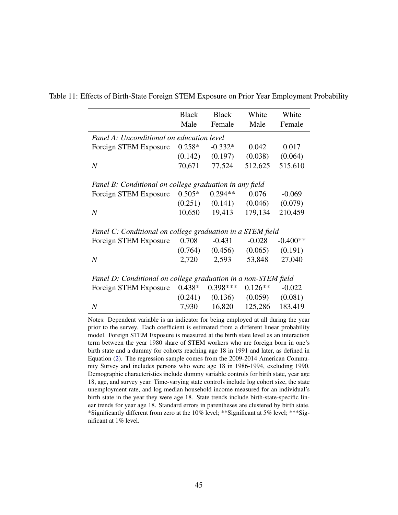|                                                                | <b>Black</b> | <b>Black</b> | White     | White      |
|----------------------------------------------------------------|--------------|--------------|-----------|------------|
|                                                                | Male         | Female       | Male      | Female     |
| Panel A: Unconditional on education level                      |              |              |           |            |
| Foreign STEM Exposure                                          | $0.258*$     | $-0.332*$    | 0.042     | 0.017      |
|                                                                | (0.142)      | (0.197)      | (0.038)   | (0.064)    |
| $\boldsymbol{N}$                                               | 70,671       | 77,524       | 512,625   | 515,610    |
|                                                                |              |              |           |            |
| Panel B: Conditional on college graduation in any field        |              |              |           |            |
| Foreign STEM Exposure                                          | $0.505*$     | $0.294**$    | 0.076     | $-0.069$   |
|                                                                | (0.251)      | (0.141)      | (0.046)   | (0.079)    |
| $\boldsymbol{N}$                                               | 10,650       | 19,413       | 179,134   | 210,459    |
|                                                                |              |              |           |            |
| Panel C: Conditional on college graduation in a STEM field     |              |              |           |            |
| Foreign STEM Exposure                                          | 0.708        | $-0.431$     | $-0.028$  | $-0.400**$ |
|                                                                | (0.764)      | (0.456)      | (0.065)   | (0.191)    |
| $\overline{N}$                                                 | 2,720        | 2,593        | 53,848    | 27,040     |
|                                                                |              |              |           |            |
| Panel D: Conditional on college graduation in a non-STEM field |              |              |           |            |
| Foreign STEM Exposure                                          | $0.438*$     | $0.398***$   | $0.126**$ | $-0.022$   |
|                                                                | (0.241)      | (0.136)      | (0.059)   | (0.081)    |
| $\overline{N}$                                                 | 7,930        | 16,820       | 125,286   | 183,419    |

<span id="page-46-0"></span>Table 11: Effects of Birth-State Foreign STEM Exposure on Prior Year Employment Probability

Notes: Dependent variable is an indicator for being employed at all during the year prior to the survey. Each coefficient is estimated from a different linear probability model. Foreign STEM Exposure is measured at the birth state level as an interaction term between the year 1980 share of STEM workers who are foreign born in one's birth state and a dummy for cohorts reaching age 18 in 1991 and later, as defined in Equation [\(2\)](#page-13-1). The regression sample comes from the 2009-2014 American Community Survey and includes persons who were age 18 in 1986-1994, excluding 1990. Demographic characteristics include dummy variable controls for birth state, year age 18, age, and survey year. Time-varying state controls include log cohort size, the state unemployment rate, and log median household income measured for an individual's birth state in the year they were age 18. State trends include birth-state-specific linear trends for year age 18. Standard errors in parentheses are clustered by birth state. \*Significantly different from zero at the 10% level; \*\*Significant at 5% level; \*\*\*Significant at 1% level.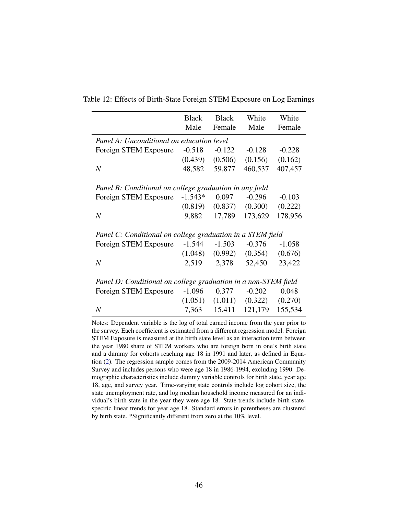|                                                                | <b>Black</b> | <b>Black</b> | White    | White    |
|----------------------------------------------------------------|--------------|--------------|----------|----------|
|                                                                | Male         | Female       | Male     | Female   |
| Panel A: Unconditional on education level                      |              |              |          |          |
| Foreign STEM Exposure                                          | $-0.518$     | $-0.122$     | $-0.128$ | $-0.228$ |
|                                                                | (0.439)      | (0.506)      | (0.156)  | (0.162)  |
| $\it N$                                                        | 48,582       | 59,877       | 460,537  | 407,457  |
|                                                                |              |              |          |          |
| Panel B: Conditional on college graduation in any field        |              |              |          |          |
| Foreign STEM Exposure                                          | $-1.543*$    | 0.097        | $-0.296$ | $-0.103$ |
|                                                                | (0.819)      | (0.837)      | (0.300)  | (0.222)  |
| $\boldsymbol{N}$                                               | 9,882        | 17,789       | 173,629  | 178,956  |
|                                                                |              |              |          |          |
| Panel C: Conditional on college graduation in a STEM field     |              |              |          |          |
| Foreign STEM Exposure                                          | $-1.544$     | $-1.503$     | $-0.376$ | $-1.058$ |
|                                                                | (1.048)      | (0.992)      | (0.354)  | (0.676)  |
| $\boldsymbol{N}$                                               | 2,519        | 2,378        | 52,450   | 23,422   |
|                                                                |              |              |          |          |
| Panel D: Conditional on college graduation in a non-STEM field |              |              |          |          |
| Foreign STEM Exposure                                          | $-1.096$     | 0.377        | $-0.202$ | 0.048    |
|                                                                | (1.051)      | (1.011)      | (0.322)  | (0.270)  |
| $\boldsymbol{N}$                                               | 7,363        | 15,411       | 121,179  | 155,534  |

<span id="page-47-0"></span>Table 12: Effects of Birth-State Foreign STEM Exposure on Log Earnings

Notes: Dependent variable is the log of total earned income from the year prior to the survey. Each coefficient is estimated from a different regression model. Foreign STEM Exposure is measured at the birth state level as an interaction term between the year 1980 share of STEM workers who are foreign born in one's birth state and a dummy for cohorts reaching age 18 in 1991 and later, as defined in Equation [\(2\)](#page-13-1). The regression sample comes from the 2009-2014 American Community Survey and includes persons who were age 18 in 1986-1994, excluding 1990. Demographic characteristics include dummy variable controls for birth state, year age 18, age, and survey year. Time-varying state controls include log cohort size, the state unemployment rate, and log median household income measured for an individual's birth state in the year they were age 18. State trends include birth-statespecific linear trends for year age 18. Standard errors in parentheses are clustered by birth state. \*Significantly different from zero at the 10% level.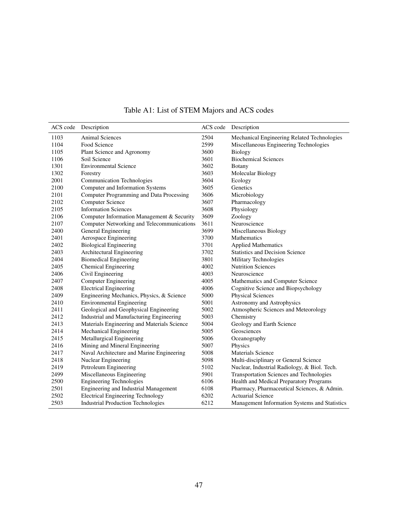<span id="page-48-0"></span>

| ACS code | Description                                 | ACS code | Description                                   |
|----------|---------------------------------------------|----------|-----------------------------------------------|
| 1103     | <b>Animal Sciences</b>                      | 2504     | Mechanical Engineering Related Technologies   |
| 1104     | Food Science                                | 2599     | Miscellaneous Engineering Technologies        |
| 1105     | Plant Science and Agronomy                  | 3600     | Biology                                       |
| 1106     | Soil Science                                | 3601     | <b>Biochemical Sciences</b>                   |
| 1301     | <b>Environmental Science</b>                | 3602     | <b>Botany</b>                                 |
| 1302     | Forestry                                    | 3603     | Molecular Biology                             |
| 2001     | <b>Communication Technologies</b>           | 3604     | Ecology                                       |
| 2100     | Computer and Information Systems            | 3605     | Genetics                                      |
| 2101     | Computer Programming and Data Processing    | 3606     | Microbiology                                  |
| 2102     | <b>Computer Science</b>                     | 3607     | Pharmacology                                  |
| 2105     | <b>Information Sciences</b>                 | 3608     | Physiology                                    |
| 2106     | Computer Information Management & Security  | 3609     | Zoology                                       |
| 2107     | Computer Networking and Telecommunications  | 3611     | Neuroscience                                  |
| 2400     | General Engineering                         | 3699     | Miscellaneous Biology                         |
| 2401     | Aerospace Engineering                       | 3700     | <b>Mathematics</b>                            |
| 2402     | <b>Biological Engineering</b>               | 3701     | <b>Applied Mathematics</b>                    |
| 2403     | Architectural Engineering                   | 3702     | <b>Statistics and Decision Science</b>        |
| 2404     | <b>Biomedical Engineering</b>               | 3801     | Military Technologies                         |
| 2405     | <b>Chemical Engineering</b>                 | 4002     | <b>Nutrition Sciences</b>                     |
| 2406     | Civil Engineering                           | 4003     | Neuroscience                                  |
| 2407     | <b>Computer Engineering</b>                 | 4005     | Mathematics and Computer Science              |
| 2408     | <b>Electrical Engineering</b>               | 4006     | Cognitive Science and Biopsychology           |
| 2409     | Engineering Mechanics, Physics, & Science   | 5000     | <b>Physical Sciences</b>                      |
| 2410     | <b>Environmental Engineering</b>            | 5001     | Astronomy and Astrophysics                    |
| 2411     | Geological and Geophysical Engineering      | 5002     | Atmospheric Sciences and Meteorology          |
| 2412     | Industrial and Manufacturing Engineering    | 5003     | Chemistry                                     |
| 2413     | Materials Engineering and Materials Science | 5004     | Geology and Earth Science                     |
| 2414     | Mechanical Engineering                      | 5005     | Geosciences                                   |
| 2415     | Metallurgical Engineering                   | 5006     | Oceanography                                  |
| 2416     | Mining and Mineral Engineering              | 5007     | Physics                                       |
| 2417     | Naval Architecture and Marine Engineering   | 5008     | <b>Materials Science</b>                      |
| 2418     | Nuclear Engineering                         | 5098     | Multi-disciplinary or General Science         |
| 2419     | Petroleum Engineering                       | 5102     | Nuclear, Industrial Radiology, & Biol. Tech.  |
| 2499     | Miscellaneous Engineering                   | 5901     | Transportation Sciences and Technologies      |
| 2500     | <b>Engineering Technologies</b>             | 6106     | Health and Medical Preparatory Programs       |
| 2501     | Engineering and Industrial Management       | 6108     | Pharmacy, Pharmaceutical Sciences, & Admin.   |
| 2502     | <b>Electrical Engineering Technology</b>    | 6202     | <b>Actuarial Science</b>                      |
| 2503     | <b>Industrial Production Technologies</b>   | 6212     | Management Information Systems and Statistics |

Table A1: List of STEM Majors and ACS codes